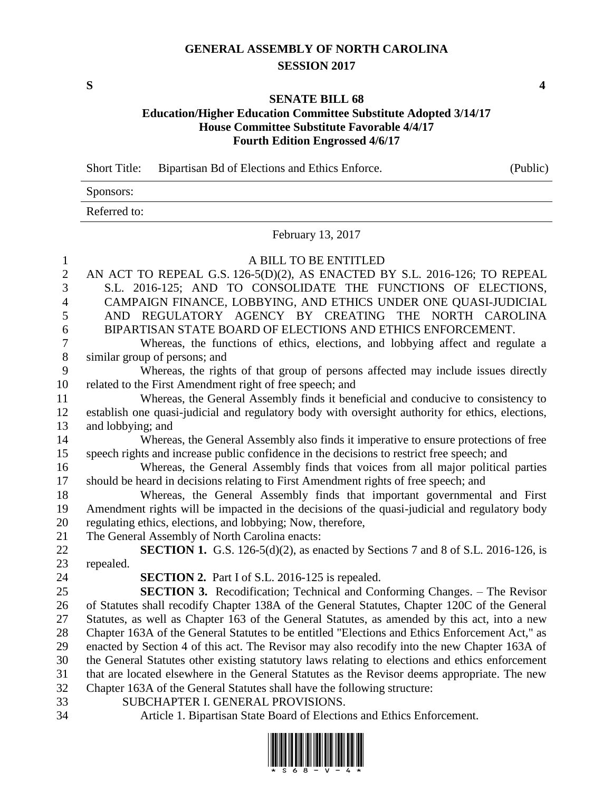## **GENERAL ASSEMBLY OF NORTH CAROLINA SESSION 2017**

**S 4**

### **SENATE BILL 68 Education/Higher Education Committee Substitute Adopted 3/14/17 House Committee Substitute Favorable 4/4/17 Fourth Edition Engrossed 4/6/17**

Short Title: Bipartisan Bd of Elections and Ethics Enforce. (Public)

Sponsors: Referred to:

February 13, 2017

| $\mathbf{1}$             | A BILL TO BE ENTITLED                                                                            |
|--------------------------|--------------------------------------------------------------------------------------------------|
| $\sqrt{2}$               | AN ACT TO REPEAL G.S. 126-5(D)(2), AS ENACTED BY S.L. 2016-126; TO REPEAL                        |
| 3                        | S.L. 2016-125; AND TO CONSOLIDATE THE FUNCTIONS OF ELECTIONS,                                    |
| $\overline{\mathcal{L}}$ | CAMPAIGN FINANCE, LOBBYING, AND ETHICS UNDER ONE QUASI-JUDICIAL                                  |
| 5                        | AND REGULATORY AGENCY BY CREATING THE NORTH CAROLINA                                             |
| 6                        | BIPARTISAN STATE BOARD OF ELECTIONS AND ETHICS ENFORCEMENT.                                      |
| $\overline{7}$           | Whereas, the functions of ethics, elections, and lobbying affect and regulate a                  |
| $8\,$                    | similar group of persons; and                                                                    |
| 9                        | Whereas, the rights of that group of persons affected may include issues directly                |
| 10                       | related to the First Amendment right of free speech; and                                         |
| 11                       | Whereas, the General Assembly finds it beneficial and conducive to consistency to                |
| 12                       | establish one quasi-judicial and regulatory body with oversight authority for ethics, elections, |
| 13                       | and lobbying; and                                                                                |
| 14                       | Whereas, the General Assembly also finds it imperative to ensure protections of free             |
| 15                       | speech rights and increase public confidence in the decisions to restrict free speech; and       |
| 16                       | Whereas, the General Assembly finds that voices from all major political parties                 |
| 17                       | should be heard in decisions relating to First Amendment rights of free speech; and              |
| 18                       | Whereas, the General Assembly finds that important governmental and First                        |
| 19                       | Amendment rights will be impacted in the decisions of the quasi-judicial and regulatory body     |
| 20                       | regulating ethics, elections, and lobbying; Now, therefore,                                      |
| 21                       | The General Assembly of North Carolina enacts:                                                   |
| 22                       | <b>SECTION 1.</b> G.S. 126-5(d)(2), as enacted by Sections 7 and 8 of S.L. 2016-126, is          |
| 23                       | repealed.                                                                                        |
| 24                       | <b>SECTION 2.</b> Part I of S.L. 2016-125 is repealed.                                           |
| 25                       | <b>SECTION 3.</b> Recodification; Technical and Conforming Changes. – The Revisor                |
| 26                       | of Statutes shall recodify Chapter 138A of the General Statutes, Chapter 120C of the General     |
| 27                       | Statutes, as well as Chapter 163 of the General Statutes, as amended by this act, into a new     |
| 28                       | Chapter 163A of the General Statutes to be entitled "Elections and Ethics Enforcement Act," as   |
| 29                       | enacted by Section 4 of this act. The Revisor may also recodify into the new Chapter 163A of     |
| 30                       | the General Statutes other existing statutory laws relating to elections and ethics enforcement  |
| 31                       | that are located elsewhere in the General Statutes as the Revisor deems appropriate. The new     |
| 32                       | Chapter 163A of the General Statutes shall have the following structure:                         |
| 33                       | SUBCHAPTER I. GENERAL PROVISIONS.                                                                |
| 34                       | Article 1. Bipartisan State Board of Elections and Ethics Enforcement.                           |

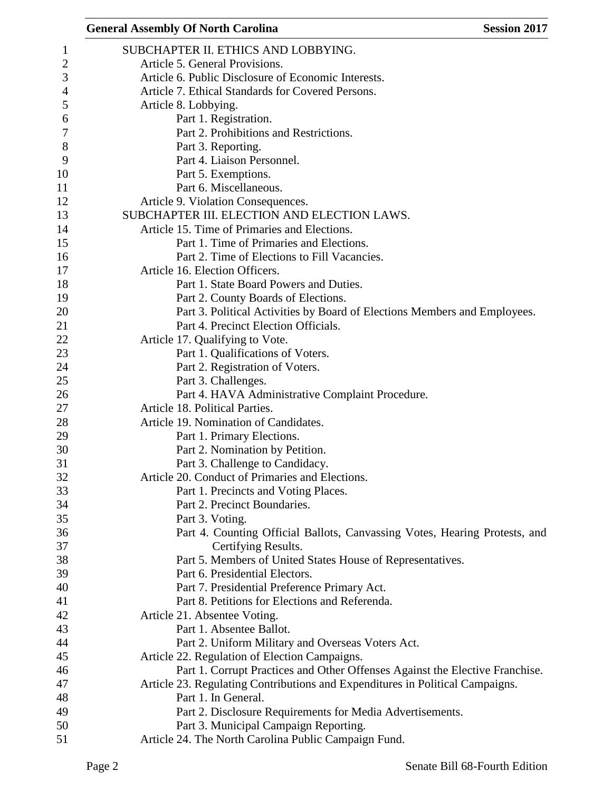| <b>General Assembly Of North Carolina</b><br><b>Session 2017</b>              |
|-------------------------------------------------------------------------------|
| SUBCHAPTER II. ETHICS AND LOBBYING.                                           |
| Article 5. General Provisions.                                                |
| Article 6. Public Disclosure of Economic Interests.                           |
| Article 7. Ethical Standards for Covered Persons.                             |
| Article 8. Lobbying.                                                          |
| Part 1. Registration.                                                         |
| Part 2. Prohibitions and Restrictions.                                        |
| Part 3. Reporting.                                                            |
| Part 4. Liaison Personnel.                                                    |
| Part 5. Exemptions.                                                           |
| Part 6. Miscellaneous.                                                        |
| Article 9. Violation Consequences.                                            |
| SUBCHAPTER III. ELECTION AND ELECTION LAWS.                                   |
| Article 15. Time of Primaries and Elections.                                  |
| Part 1. Time of Primaries and Elections.                                      |
| Part 2. Time of Elections to Fill Vacancies.                                  |
|                                                                               |
| Article 16. Election Officers.                                                |
| Part 1. State Board Powers and Duties.                                        |
| Part 2. County Boards of Elections.                                           |
| Part 3. Political Activities by Board of Elections Members and Employees.     |
| Part 4. Precinct Election Officials.                                          |
| Article 17. Qualifying to Vote.                                               |
| Part 1. Qualifications of Voters.                                             |
| Part 2. Registration of Voters.                                               |
| Part 3. Challenges.                                                           |
| Part 4. HAVA Administrative Complaint Procedure.                              |
| Article 18. Political Parties.                                                |
| Article 19. Nomination of Candidates.                                         |
| Part 1. Primary Elections.                                                    |
| Part 2. Nomination by Petition.                                               |
| Part 3. Challenge to Candidacy.                                               |
| Article 20. Conduct of Primaries and Elections.                               |
| Part 1. Precincts and Voting Places.                                          |
| Part 2. Precinct Boundaries.                                                  |
| Part 3. Voting.                                                               |
| Part 4. Counting Official Ballots, Canvassing Votes, Hearing Protests, and    |
| Certifying Results.                                                           |
| Part 5. Members of United States House of Representatives.                    |
| Part 6. Presidential Electors.                                                |
| Part 7. Presidential Preference Primary Act.                                  |
| Part 8. Petitions for Elections and Referenda.                                |
| Article 21. Absentee Voting.                                                  |
| Part 1. Absentee Ballot.                                                      |
| Part 2. Uniform Military and Overseas Voters Act.                             |
| Article 22. Regulation of Election Campaigns.                                 |
| Part 1. Corrupt Practices and Other Offenses Against the Elective Franchise.  |
| Article 23. Regulating Contributions and Expenditures in Political Campaigns. |
| Part 1. In General.                                                           |
| Part 2. Disclosure Requirements for Media Advertisements.                     |
| Part 3. Municipal Campaign Reporting.                                         |
| Article 24. The North Carolina Public Campaign Fund.                          |
|                                                                               |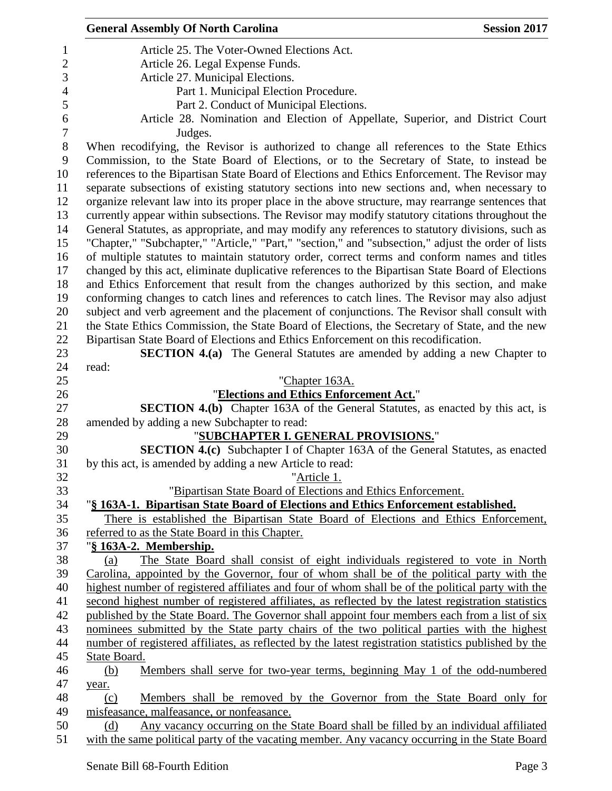|                  | <b>General Assembly Of North Carolina</b><br><b>Session 2017</b>                                                                                   |  |
|------------------|----------------------------------------------------------------------------------------------------------------------------------------------------|--|
| $\mathbf 1$      | Article 25. The Voter-Owned Elections Act.                                                                                                         |  |
| $\overline{2}$   | Article 26. Legal Expense Funds.                                                                                                                   |  |
| 3                | Article 27. Municipal Elections.                                                                                                                   |  |
| $\overline{4}$   | Part 1. Municipal Election Procedure.                                                                                                              |  |
| 5                | Part 2. Conduct of Municipal Elections.                                                                                                            |  |
| 6                | Article 28. Nomination and Election of Appellate, Superior, and District Court                                                                     |  |
| $\boldsymbol{7}$ | Judges.                                                                                                                                            |  |
| 8                | When recodifying, the Revisor is authorized to change all references to the State Ethics                                                           |  |
| 9                | Commission, to the State Board of Elections, or to the Secretary of State, to instead be                                                           |  |
| 10               | references to the Bipartisan State Board of Elections and Ethics Enforcement. The Revisor may                                                      |  |
| 11               | separate subsections of existing statutory sections into new sections and, when necessary to                                                       |  |
| 12               | organize relevant law into its proper place in the above structure, may rearrange sentences that                                                   |  |
| 13               | currently appear within subsections. The Revisor may modify statutory citations throughout the                                                     |  |
| 14               | General Statutes, as appropriate, and may modify any references to statutory divisions, such as                                                    |  |
| 15               | "Chapter," "Subchapter," "Article," "Part," "section," and "subsection," adjust the order of lists                                                 |  |
| 16               | of multiple statutes to maintain statutory order, correct terms and conform names and titles                                                       |  |
| 17               | changed by this act, eliminate duplicative references to the Bipartisan State Board of Elections                                                   |  |
| 18               | and Ethics Enforcement that result from the changes authorized by this section, and make                                                           |  |
| 19               | conforming changes to catch lines and references to catch lines. The Revisor may also adjust                                                       |  |
| 20               | subject and verb agreement and the placement of conjunctions. The Revisor shall consult with                                                       |  |
| 21               | the State Ethics Commission, the State Board of Elections, the Secretary of State, and the new                                                     |  |
| 22               | Bipartisan State Board of Elections and Ethics Enforcement on this recodification.                                                                 |  |
| 23               | <b>SECTION 4.(a)</b> The General Statutes are amended by adding a new Chapter to                                                                   |  |
| 24               | read:                                                                                                                                              |  |
| 25               | "Chapter 163A.                                                                                                                                     |  |
| 26               | "Elections and Ethics Enforcement Act."                                                                                                            |  |
| 27               | SECTION 4.(b) Chapter 163A of the General Statutes, as enacted by this act, is                                                                     |  |
| 28               | amended by adding a new Subchapter to read:                                                                                                        |  |
| 29               | "SUBCHAPTER I. GENERAL PROVISIONS."                                                                                                                |  |
| 30               | <b>SECTION 4.(c)</b> Subchapter I of Chapter 163A of the General Statutes, as enacted                                                              |  |
| 31               | by this act, is amended by adding a new Article to read:                                                                                           |  |
| 32<br>33         | "Article 1.                                                                                                                                        |  |
| 34               | "Bipartisan State Board of Elections and Ethics Enforcement.<br>"§ 163A-1. Bipartisan State Board of Elections and Ethics Enforcement established. |  |
| 35               | There is established the Bipartisan State Board of Elections and Ethics Enforcement,                                                               |  |
| 36               | referred to as the State Board in this Chapter.                                                                                                    |  |
| 37               | "§ 163A-2. Membership.                                                                                                                             |  |
| 38               | The State Board shall consist of eight individuals registered to vote in North<br>(a)                                                              |  |
| 39               | Carolina, appointed by the Governor, four of whom shall be of the political party with the                                                         |  |
| 40               | highest number of registered affiliates and four of whom shall be of the political party with the                                                  |  |
| 41               | second highest number of registered affiliates, as reflected by the latest registration statistics                                                 |  |
| 42               | published by the State Board. The Governor shall appoint four members each from a list of six                                                      |  |
| 43               | nominees submitted by the State party chairs of the two political parties with the highest                                                         |  |
| 44               | number of registered affiliates, as reflected by the latest registration statistics published by the                                               |  |
| 45               | State Board.                                                                                                                                       |  |
| 46               | Members shall serve for two-year terms, beginning May 1 of the odd-numbered<br>(b)                                                                 |  |
| 47               | year.                                                                                                                                              |  |
| 48               | Members shall be removed by the Governor from the State Board only for<br>(c)                                                                      |  |
| 49               | misfeasance, malfeasance, or nonfeasance.                                                                                                          |  |
| 50               | Any vacancy occurring on the State Board shall be filled by an individual affiliated<br>(d)                                                        |  |
| 51               | with the same political party of the vacating member. Any vacancy occurring in the State Board                                                     |  |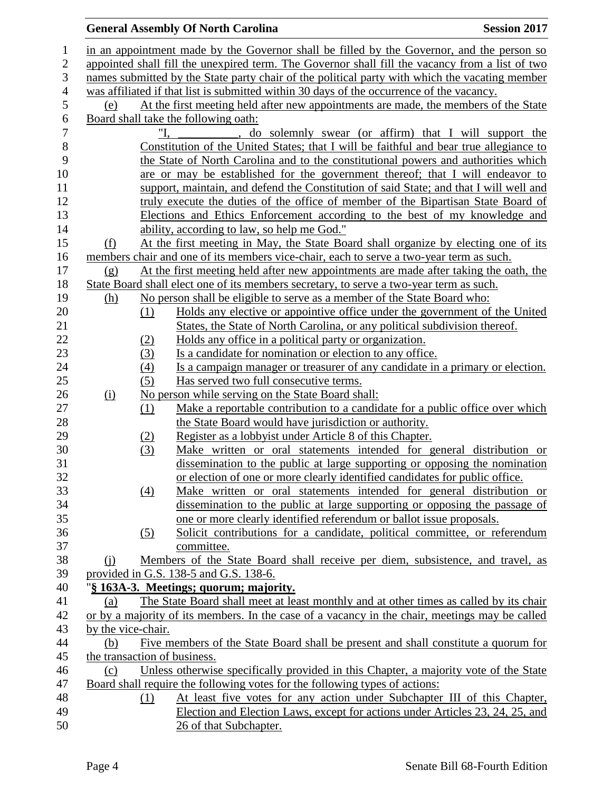## **General Assembly Of North Carolina Session 2017**  in an appointment made by the Governor shall be filled by the Governor, and the person so appointed shall fill the unexpired term. The Governor shall fill the vacancy from a list of two names submitted by the State party chair of the political party with which the vacating member was affiliated if that list is submitted within 30 days of the occurrence of the vacancy. (e) At the first meeting held after new appointments are made, the members of the State 6 Board shall take the following oath:<br>7  $\frac{\text{W}}{\text{U}}$ , do "I, \_\_\_\_\_\_\_\_\_\_, do solemnly swear (or affirm) that I will support the Constitution of the United States; that I will be faithful and bear true allegiance to the State of North Carolina and to the constitutional powers and authorities which are or may be established for the government thereof; that I will endeavor to support, maintain, and defend the Constitution of said State; and that I will well and truly execute the duties of the office of member of the Bipartisan State Board of Elections and Ethics Enforcement according to the best of my knowledge and 14 ability, according to law, so help me God." (f) At the first meeting in May, the State Board shall organize by electing one of its members chair and one of its members vice-chair, each to serve a two-year term as such. (g) At the first meeting held after new appointments are made after taking the oath, the State Board shall elect one of its members secretary, to serve a two-year term as such. (h) No person shall be eligible to serve as a member of the State Board who: (1) Holds any elective or appointive office under the government of the United States, the State of North Carolina, or any political subdivision thereof. 22 (2) Holds any office in a political party or organization. (3) Is a candidate for nomination or election to any office. (4) Is a campaign manager or treasurer of any candidate in a primary or election. (5) Has served two full consecutive terms. 26 (i) No person while serving on the State Board shall: (1) Make a reportable contribution to a candidate for a public office over which 28 the State Board would have jurisdiction or authority. (2) Register as a lobbyist under Article 8 of this Chapter. (3) Make written or oral statements intended for general distribution or dissemination to the public at large supporting or opposing the nomination or election of one or more clearly identified candidates for public office. (4) Make written or oral statements intended for general distribution or dissemination to the public at large supporting or opposing the passage of one or more clearly identified referendum or ballot issue proposals. (5) Solicit contributions for a candidate, political committee, or referendum committee. (j) Members of the State Board shall receive per diem, subsistence, and travel, as provided in G.S. 138-5 and G.S. 138-6. "**§ 163A-3. Meetings; quorum; majority.** (a) The State Board shall meet at least monthly and at other times as called by its chair or by a majority of its members. In the case of a vacancy in the chair, meetings may be called by the vice-chair. (b) Five members of the State Board shall be present and shall constitute a quorum for the transaction of business. (c) Unless otherwise specifically provided in this Chapter, a majority vote of the State Board shall require the following votes for the following types of actions: (1) At least five votes for any action under Subchapter III of this Chapter, Election and Election Laws, except for actions under Articles 23, 24, 25, and 26 of that Subchapter.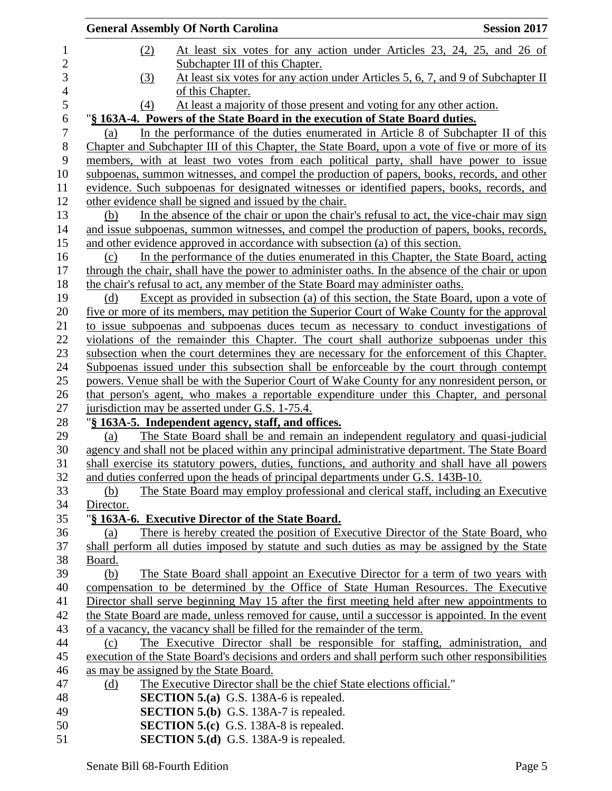| At least six votes for any action under Articles 23, 24, 25, and 26 of<br>(2)<br>$\mathbf{1}$<br>$\overline{c}$<br>Subchapter III of this Chapter.<br>3<br>At least six votes for any action under Articles 5, 6, 7, and 9 of Subchapter II<br>(3)<br>$\overline{4}$<br>of this Chapter.<br>5<br>At least a majority of those present and voting for any other action.<br>(4)<br>6<br>"§ 163A-4. Powers of the State Board in the execution of State Board duties.<br>$\boldsymbol{7}$<br>In the performance of the duties enumerated in Article 8 of Subchapter II of this<br>(a)<br>$8\,$<br>Chapter and Subchapter III of this Chapter, the State Board, upon a vote of five or more of its<br>9<br>members, with at least two votes from each political party, shall have power to issue<br>10<br>subpoenas, summon witnesses, and compel the production of papers, books, records, and other<br>11<br>evidence. Such subpoenas for designated witnesses or identified papers, books, records, and<br>12<br>other evidence shall be signed and issued by the chair.<br>13<br>In the absence of the chair or upon the chair's refusal to act, the vice-chair may sign<br>(b)<br>14<br>and issue subpoenas, summon witnesses, and compel the production of papers, books, records,<br>15<br>and other evidence approved in accordance with subsection (a) of this section.<br>16<br>In the performance of the duties enumerated in this Chapter, the State Board, acting<br>(c)<br>17<br>through the chair, shall have the power to administer oaths. In the absence of the chair or upon<br>18<br>the chair's refusal to act, any member of the State Board may administer oaths.<br>19<br>Except as provided in subsection (a) of this section, the State Board, upon a vote of<br>(d)<br>20<br><u>five or more of its members, may petition the Superior Court of Wake County for the approval</u><br>21<br>to issue subpoenas and subpoenas duces tecum as necessary to conduct investigations of<br>22<br>violations of the remainder this Chapter. The court shall authorize subpoenas under this<br>23<br>subsection when the court determines they are necessary for the enforcement of this Chapter.<br>Subpoenas issued under this subsection shall be enforceable by the court through contempt<br>24<br>25<br>powers. Venue shall be with the Superior Court of Wake County for any nonresident person, or<br>26<br>that person's agent, who makes a reportable expenditure under this Chapter, and personal<br>27<br>jurisdiction may be asserted under G.S. 1-75.4.<br>28<br>"§ 163A-5. Independent agency, staff, and offices.<br>29<br>The State Board shall be and remain an independent regulatory and quasi-judicial<br>(a)<br>30<br>agency and shall not be placed within any principal administrative department. The State Board<br>31<br>shall exercise its statutory powers, duties, functions, and authority and shall have all powers<br>32<br>and duties conferred upon the heads of principal departments under G.S. 143B-10.<br>33<br>The State Board may employ professional and clerical staff, including an Executive<br>(b)<br>34<br>Director.<br>35<br>"§ 163A-6. Executive Director of the State Board.<br>There is hereby created the position of Executive Director of the State Board, who<br>36<br>(a)<br>37<br>shall perform all duties imposed by statute and such duties as may be assigned by the State<br>38<br>Board.<br>39<br>(b)<br>The State Board shall appoint an Executive Director for a term of two years with<br>compensation to be determined by the Office of State Human Resources. The Executive<br>40<br>41<br>Director shall serve beginning May 15 after the first meeting held after new appointments to<br>42<br>the State Board are made, unless removed for cause, until a successor is appointed. In the event<br>43<br>of a vacancy, the vacancy shall be filled for the remainder of the term.<br>44<br>The Executive Director shall be responsible for staffing, administration, and<br>(c)<br>execution of the State Board's decisions and orders and shall perform such other responsibilities<br>45<br>46<br>as may be assigned by the State Board.<br>47<br>The Executive Director shall be the chief State elections official."<br><u>(d)</u><br><b>SECTION 5.(a)</b> G.S. 138A-6 is repealed.<br>48<br><b>SECTION 5.(b)</b> G.S. 138A-7 is repealed.<br>49 | <b>General Assembly Of North Carolina</b> | <b>Session 2017</b> |
|-----------------------------------------------------------------------------------------------------------------------------------------------------------------------------------------------------------------------------------------------------------------------------------------------------------------------------------------------------------------------------------------------------------------------------------------------------------------------------------------------------------------------------------------------------------------------------------------------------------------------------------------------------------------------------------------------------------------------------------------------------------------------------------------------------------------------------------------------------------------------------------------------------------------------------------------------------------------------------------------------------------------------------------------------------------------------------------------------------------------------------------------------------------------------------------------------------------------------------------------------------------------------------------------------------------------------------------------------------------------------------------------------------------------------------------------------------------------------------------------------------------------------------------------------------------------------------------------------------------------------------------------------------------------------------------------------------------------------------------------------------------------------------------------------------------------------------------------------------------------------------------------------------------------------------------------------------------------------------------------------------------------------------------------------------------------------------------------------------------------------------------------------------------------------------------------------------------------------------------------------------------------------------------------------------------------------------------------------------------------------------------------------------------------------------------------------------------------------------------------------------------------------------------------------------------------------------------------------------------------------------------------------------------------------------------------------------------------------------------------------------------------------------------------------------------------------------------------------------------------------------------------------------------------------------------------------------------------------------------------------------------------------------------------------------------------------------------------------------------------------------------------------------------------------------------------------------------------------------------------------------------------------------------------------------------------------------------------------------------------------------------------------------------------------------------------------------------------------------------------------------------------------------------------------------------------------------------------------------------------------------------------------------------------------------------------------------------------------------------------------------------------------------------------------------------------------------------------------------------------------------------------------------------------------------------------------------------------------------------------------------------------------------------------------------------------------------------------------------------------------------------------------------------------------------------------------------------------------------------------------------------------------------------------------------------------------------------------------------------------------------------------------------------------------------------------|-------------------------------------------|---------------------|
|                                                                                                                                                                                                                                                                                                                                                                                                                                                                                                                                                                                                                                                                                                                                                                                                                                                                                                                                                                                                                                                                                                                                                                                                                                                                                                                                                                                                                                                                                                                                                                                                                                                                                                                                                                                                                                                                                                                                                                                                                                                                                                                                                                                                                                                                                                                                                                                                                                                                                                                                                                                                                                                                                                                                                                                                                                                                                                                                                                                                                                                                                                                                                                                                                                                                                                                                                                                                                                                                                                                                                                                                                                                                                                                                                                                                                                                                                                                                                                                                                                                                                                                                                                                                                                                                                                                                                                                                                                         |                                           |                     |
|                                                                                                                                                                                                                                                                                                                                                                                                                                                                                                                                                                                                                                                                                                                                                                                                                                                                                                                                                                                                                                                                                                                                                                                                                                                                                                                                                                                                                                                                                                                                                                                                                                                                                                                                                                                                                                                                                                                                                                                                                                                                                                                                                                                                                                                                                                                                                                                                                                                                                                                                                                                                                                                                                                                                                                                                                                                                                                                                                                                                                                                                                                                                                                                                                                                                                                                                                                                                                                                                                                                                                                                                                                                                                                                                                                                                                                                                                                                                                                                                                                                                                                                                                                                                                                                                                                                                                                                                                                         |                                           |                     |
|                                                                                                                                                                                                                                                                                                                                                                                                                                                                                                                                                                                                                                                                                                                                                                                                                                                                                                                                                                                                                                                                                                                                                                                                                                                                                                                                                                                                                                                                                                                                                                                                                                                                                                                                                                                                                                                                                                                                                                                                                                                                                                                                                                                                                                                                                                                                                                                                                                                                                                                                                                                                                                                                                                                                                                                                                                                                                                                                                                                                                                                                                                                                                                                                                                                                                                                                                                                                                                                                                                                                                                                                                                                                                                                                                                                                                                                                                                                                                                                                                                                                                                                                                                                                                                                                                                                                                                                                                                         |                                           |                     |
|                                                                                                                                                                                                                                                                                                                                                                                                                                                                                                                                                                                                                                                                                                                                                                                                                                                                                                                                                                                                                                                                                                                                                                                                                                                                                                                                                                                                                                                                                                                                                                                                                                                                                                                                                                                                                                                                                                                                                                                                                                                                                                                                                                                                                                                                                                                                                                                                                                                                                                                                                                                                                                                                                                                                                                                                                                                                                                                                                                                                                                                                                                                                                                                                                                                                                                                                                                                                                                                                                                                                                                                                                                                                                                                                                                                                                                                                                                                                                                                                                                                                                                                                                                                                                                                                                                                                                                                                                                         |                                           |                     |
|                                                                                                                                                                                                                                                                                                                                                                                                                                                                                                                                                                                                                                                                                                                                                                                                                                                                                                                                                                                                                                                                                                                                                                                                                                                                                                                                                                                                                                                                                                                                                                                                                                                                                                                                                                                                                                                                                                                                                                                                                                                                                                                                                                                                                                                                                                                                                                                                                                                                                                                                                                                                                                                                                                                                                                                                                                                                                                                                                                                                                                                                                                                                                                                                                                                                                                                                                                                                                                                                                                                                                                                                                                                                                                                                                                                                                                                                                                                                                                                                                                                                                                                                                                                                                                                                                                                                                                                                                                         |                                           |                     |
|                                                                                                                                                                                                                                                                                                                                                                                                                                                                                                                                                                                                                                                                                                                                                                                                                                                                                                                                                                                                                                                                                                                                                                                                                                                                                                                                                                                                                                                                                                                                                                                                                                                                                                                                                                                                                                                                                                                                                                                                                                                                                                                                                                                                                                                                                                                                                                                                                                                                                                                                                                                                                                                                                                                                                                                                                                                                                                                                                                                                                                                                                                                                                                                                                                                                                                                                                                                                                                                                                                                                                                                                                                                                                                                                                                                                                                                                                                                                                                                                                                                                                                                                                                                                                                                                                                                                                                                                                                         |                                           |                     |
|                                                                                                                                                                                                                                                                                                                                                                                                                                                                                                                                                                                                                                                                                                                                                                                                                                                                                                                                                                                                                                                                                                                                                                                                                                                                                                                                                                                                                                                                                                                                                                                                                                                                                                                                                                                                                                                                                                                                                                                                                                                                                                                                                                                                                                                                                                                                                                                                                                                                                                                                                                                                                                                                                                                                                                                                                                                                                                                                                                                                                                                                                                                                                                                                                                                                                                                                                                                                                                                                                                                                                                                                                                                                                                                                                                                                                                                                                                                                                                                                                                                                                                                                                                                                                                                                                                                                                                                                                                         |                                           |                     |
|                                                                                                                                                                                                                                                                                                                                                                                                                                                                                                                                                                                                                                                                                                                                                                                                                                                                                                                                                                                                                                                                                                                                                                                                                                                                                                                                                                                                                                                                                                                                                                                                                                                                                                                                                                                                                                                                                                                                                                                                                                                                                                                                                                                                                                                                                                                                                                                                                                                                                                                                                                                                                                                                                                                                                                                                                                                                                                                                                                                                                                                                                                                                                                                                                                                                                                                                                                                                                                                                                                                                                                                                                                                                                                                                                                                                                                                                                                                                                                                                                                                                                                                                                                                                                                                                                                                                                                                                                                         |                                           |                     |
|                                                                                                                                                                                                                                                                                                                                                                                                                                                                                                                                                                                                                                                                                                                                                                                                                                                                                                                                                                                                                                                                                                                                                                                                                                                                                                                                                                                                                                                                                                                                                                                                                                                                                                                                                                                                                                                                                                                                                                                                                                                                                                                                                                                                                                                                                                                                                                                                                                                                                                                                                                                                                                                                                                                                                                                                                                                                                                                                                                                                                                                                                                                                                                                                                                                                                                                                                                                                                                                                                                                                                                                                                                                                                                                                                                                                                                                                                                                                                                                                                                                                                                                                                                                                                                                                                                                                                                                                                                         |                                           |                     |
|                                                                                                                                                                                                                                                                                                                                                                                                                                                                                                                                                                                                                                                                                                                                                                                                                                                                                                                                                                                                                                                                                                                                                                                                                                                                                                                                                                                                                                                                                                                                                                                                                                                                                                                                                                                                                                                                                                                                                                                                                                                                                                                                                                                                                                                                                                                                                                                                                                                                                                                                                                                                                                                                                                                                                                                                                                                                                                                                                                                                                                                                                                                                                                                                                                                                                                                                                                                                                                                                                                                                                                                                                                                                                                                                                                                                                                                                                                                                                                                                                                                                                                                                                                                                                                                                                                                                                                                                                                         |                                           |                     |
|                                                                                                                                                                                                                                                                                                                                                                                                                                                                                                                                                                                                                                                                                                                                                                                                                                                                                                                                                                                                                                                                                                                                                                                                                                                                                                                                                                                                                                                                                                                                                                                                                                                                                                                                                                                                                                                                                                                                                                                                                                                                                                                                                                                                                                                                                                                                                                                                                                                                                                                                                                                                                                                                                                                                                                                                                                                                                                                                                                                                                                                                                                                                                                                                                                                                                                                                                                                                                                                                                                                                                                                                                                                                                                                                                                                                                                                                                                                                                                                                                                                                                                                                                                                                                                                                                                                                                                                                                                         |                                           |                     |
|                                                                                                                                                                                                                                                                                                                                                                                                                                                                                                                                                                                                                                                                                                                                                                                                                                                                                                                                                                                                                                                                                                                                                                                                                                                                                                                                                                                                                                                                                                                                                                                                                                                                                                                                                                                                                                                                                                                                                                                                                                                                                                                                                                                                                                                                                                                                                                                                                                                                                                                                                                                                                                                                                                                                                                                                                                                                                                                                                                                                                                                                                                                                                                                                                                                                                                                                                                                                                                                                                                                                                                                                                                                                                                                                                                                                                                                                                                                                                                                                                                                                                                                                                                                                                                                                                                                                                                                                                                         |                                           |                     |
|                                                                                                                                                                                                                                                                                                                                                                                                                                                                                                                                                                                                                                                                                                                                                                                                                                                                                                                                                                                                                                                                                                                                                                                                                                                                                                                                                                                                                                                                                                                                                                                                                                                                                                                                                                                                                                                                                                                                                                                                                                                                                                                                                                                                                                                                                                                                                                                                                                                                                                                                                                                                                                                                                                                                                                                                                                                                                                                                                                                                                                                                                                                                                                                                                                                                                                                                                                                                                                                                                                                                                                                                                                                                                                                                                                                                                                                                                                                                                                                                                                                                                                                                                                                                                                                                                                                                                                                                                                         |                                           |                     |
|                                                                                                                                                                                                                                                                                                                                                                                                                                                                                                                                                                                                                                                                                                                                                                                                                                                                                                                                                                                                                                                                                                                                                                                                                                                                                                                                                                                                                                                                                                                                                                                                                                                                                                                                                                                                                                                                                                                                                                                                                                                                                                                                                                                                                                                                                                                                                                                                                                                                                                                                                                                                                                                                                                                                                                                                                                                                                                                                                                                                                                                                                                                                                                                                                                                                                                                                                                                                                                                                                                                                                                                                                                                                                                                                                                                                                                                                                                                                                                                                                                                                                                                                                                                                                                                                                                                                                                                                                                         |                                           |                     |
|                                                                                                                                                                                                                                                                                                                                                                                                                                                                                                                                                                                                                                                                                                                                                                                                                                                                                                                                                                                                                                                                                                                                                                                                                                                                                                                                                                                                                                                                                                                                                                                                                                                                                                                                                                                                                                                                                                                                                                                                                                                                                                                                                                                                                                                                                                                                                                                                                                                                                                                                                                                                                                                                                                                                                                                                                                                                                                                                                                                                                                                                                                                                                                                                                                                                                                                                                                                                                                                                                                                                                                                                                                                                                                                                                                                                                                                                                                                                                                                                                                                                                                                                                                                                                                                                                                                                                                                                                                         |                                           |                     |
|                                                                                                                                                                                                                                                                                                                                                                                                                                                                                                                                                                                                                                                                                                                                                                                                                                                                                                                                                                                                                                                                                                                                                                                                                                                                                                                                                                                                                                                                                                                                                                                                                                                                                                                                                                                                                                                                                                                                                                                                                                                                                                                                                                                                                                                                                                                                                                                                                                                                                                                                                                                                                                                                                                                                                                                                                                                                                                                                                                                                                                                                                                                                                                                                                                                                                                                                                                                                                                                                                                                                                                                                                                                                                                                                                                                                                                                                                                                                                                                                                                                                                                                                                                                                                                                                                                                                                                                                                                         |                                           |                     |
|                                                                                                                                                                                                                                                                                                                                                                                                                                                                                                                                                                                                                                                                                                                                                                                                                                                                                                                                                                                                                                                                                                                                                                                                                                                                                                                                                                                                                                                                                                                                                                                                                                                                                                                                                                                                                                                                                                                                                                                                                                                                                                                                                                                                                                                                                                                                                                                                                                                                                                                                                                                                                                                                                                                                                                                                                                                                                                                                                                                                                                                                                                                                                                                                                                                                                                                                                                                                                                                                                                                                                                                                                                                                                                                                                                                                                                                                                                                                                                                                                                                                                                                                                                                                                                                                                                                                                                                                                                         |                                           |                     |
|                                                                                                                                                                                                                                                                                                                                                                                                                                                                                                                                                                                                                                                                                                                                                                                                                                                                                                                                                                                                                                                                                                                                                                                                                                                                                                                                                                                                                                                                                                                                                                                                                                                                                                                                                                                                                                                                                                                                                                                                                                                                                                                                                                                                                                                                                                                                                                                                                                                                                                                                                                                                                                                                                                                                                                                                                                                                                                                                                                                                                                                                                                                                                                                                                                                                                                                                                                                                                                                                                                                                                                                                                                                                                                                                                                                                                                                                                                                                                                                                                                                                                                                                                                                                                                                                                                                                                                                                                                         |                                           |                     |
|                                                                                                                                                                                                                                                                                                                                                                                                                                                                                                                                                                                                                                                                                                                                                                                                                                                                                                                                                                                                                                                                                                                                                                                                                                                                                                                                                                                                                                                                                                                                                                                                                                                                                                                                                                                                                                                                                                                                                                                                                                                                                                                                                                                                                                                                                                                                                                                                                                                                                                                                                                                                                                                                                                                                                                                                                                                                                                                                                                                                                                                                                                                                                                                                                                                                                                                                                                                                                                                                                                                                                                                                                                                                                                                                                                                                                                                                                                                                                                                                                                                                                                                                                                                                                                                                                                                                                                                                                                         |                                           |                     |
|                                                                                                                                                                                                                                                                                                                                                                                                                                                                                                                                                                                                                                                                                                                                                                                                                                                                                                                                                                                                                                                                                                                                                                                                                                                                                                                                                                                                                                                                                                                                                                                                                                                                                                                                                                                                                                                                                                                                                                                                                                                                                                                                                                                                                                                                                                                                                                                                                                                                                                                                                                                                                                                                                                                                                                                                                                                                                                                                                                                                                                                                                                                                                                                                                                                                                                                                                                                                                                                                                                                                                                                                                                                                                                                                                                                                                                                                                                                                                                                                                                                                                                                                                                                                                                                                                                                                                                                                                                         |                                           |                     |
|                                                                                                                                                                                                                                                                                                                                                                                                                                                                                                                                                                                                                                                                                                                                                                                                                                                                                                                                                                                                                                                                                                                                                                                                                                                                                                                                                                                                                                                                                                                                                                                                                                                                                                                                                                                                                                                                                                                                                                                                                                                                                                                                                                                                                                                                                                                                                                                                                                                                                                                                                                                                                                                                                                                                                                                                                                                                                                                                                                                                                                                                                                                                                                                                                                                                                                                                                                                                                                                                                                                                                                                                                                                                                                                                                                                                                                                                                                                                                                                                                                                                                                                                                                                                                                                                                                                                                                                                                                         |                                           |                     |
|                                                                                                                                                                                                                                                                                                                                                                                                                                                                                                                                                                                                                                                                                                                                                                                                                                                                                                                                                                                                                                                                                                                                                                                                                                                                                                                                                                                                                                                                                                                                                                                                                                                                                                                                                                                                                                                                                                                                                                                                                                                                                                                                                                                                                                                                                                                                                                                                                                                                                                                                                                                                                                                                                                                                                                                                                                                                                                                                                                                                                                                                                                                                                                                                                                                                                                                                                                                                                                                                                                                                                                                                                                                                                                                                                                                                                                                                                                                                                                                                                                                                                                                                                                                                                                                                                                                                                                                                                                         |                                           |                     |
|                                                                                                                                                                                                                                                                                                                                                                                                                                                                                                                                                                                                                                                                                                                                                                                                                                                                                                                                                                                                                                                                                                                                                                                                                                                                                                                                                                                                                                                                                                                                                                                                                                                                                                                                                                                                                                                                                                                                                                                                                                                                                                                                                                                                                                                                                                                                                                                                                                                                                                                                                                                                                                                                                                                                                                                                                                                                                                                                                                                                                                                                                                                                                                                                                                                                                                                                                                                                                                                                                                                                                                                                                                                                                                                                                                                                                                                                                                                                                                                                                                                                                                                                                                                                                                                                                                                                                                                                                                         |                                           |                     |
|                                                                                                                                                                                                                                                                                                                                                                                                                                                                                                                                                                                                                                                                                                                                                                                                                                                                                                                                                                                                                                                                                                                                                                                                                                                                                                                                                                                                                                                                                                                                                                                                                                                                                                                                                                                                                                                                                                                                                                                                                                                                                                                                                                                                                                                                                                                                                                                                                                                                                                                                                                                                                                                                                                                                                                                                                                                                                                                                                                                                                                                                                                                                                                                                                                                                                                                                                                                                                                                                                                                                                                                                                                                                                                                                                                                                                                                                                                                                                                                                                                                                                                                                                                                                                                                                                                                                                                                                                                         |                                           |                     |
|                                                                                                                                                                                                                                                                                                                                                                                                                                                                                                                                                                                                                                                                                                                                                                                                                                                                                                                                                                                                                                                                                                                                                                                                                                                                                                                                                                                                                                                                                                                                                                                                                                                                                                                                                                                                                                                                                                                                                                                                                                                                                                                                                                                                                                                                                                                                                                                                                                                                                                                                                                                                                                                                                                                                                                                                                                                                                                                                                                                                                                                                                                                                                                                                                                                                                                                                                                                                                                                                                                                                                                                                                                                                                                                                                                                                                                                                                                                                                                                                                                                                                                                                                                                                                                                                                                                                                                                                                                         |                                           |                     |
|                                                                                                                                                                                                                                                                                                                                                                                                                                                                                                                                                                                                                                                                                                                                                                                                                                                                                                                                                                                                                                                                                                                                                                                                                                                                                                                                                                                                                                                                                                                                                                                                                                                                                                                                                                                                                                                                                                                                                                                                                                                                                                                                                                                                                                                                                                                                                                                                                                                                                                                                                                                                                                                                                                                                                                                                                                                                                                                                                                                                                                                                                                                                                                                                                                                                                                                                                                                                                                                                                                                                                                                                                                                                                                                                                                                                                                                                                                                                                                                                                                                                                                                                                                                                                                                                                                                                                                                                                                         |                                           |                     |
|                                                                                                                                                                                                                                                                                                                                                                                                                                                                                                                                                                                                                                                                                                                                                                                                                                                                                                                                                                                                                                                                                                                                                                                                                                                                                                                                                                                                                                                                                                                                                                                                                                                                                                                                                                                                                                                                                                                                                                                                                                                                                                                                                                                                                                                                                                                                                                                                                                                                                                                                                                                                                                                                                                                                                                                                                                                                                                                                                                                                                                                                                                                                                                                                                                                                                                                                                                                                                                                                                                                                                                                                                                                                                                                                                                                                                                                                                                                                                                                                                                                                                                                                                                                                                                                                                                                                                                                                                                         |                                           |                     |
|                                                                                                                                                                                                                                                                                                                                                                                                                                                                                                                                                                                                                                                                                                                                                                                                                                                                                                                                                                                                                                                                                                                                                                                                                                                                                                                                                                                                                                                                                                                                                                                                                                                                                                                                                                                                                                                                                                                                                                                                                                                                                                                                                                                                                                                                                                                                                                                                                                                                                                                                                                                                                                                                                                                                                                                                                                                                                                                                                                                                                                                                                                                                                                                                                                                                                                                                                                                                                                                                                                                                                                                                                                                                                                                                                                                                                                                                                                                                                                                                                                                                                                                                                                                                                                                                                                                                                                                                                                         |                                           |                     |
|                                                                                                                                                                                                                                                                                                                                                                                                                                                                                                                                                                                                                                                                                                                                                                                                                                                                                                                                                                                                                                                                                                                                                                                                                                                                                                                                                                                                                                                                                                                                                                                                                                                                                                                                                                                                                                                                                                                                                                                                                                                                                                                                                                                                                                                                                                                                                                                                                                                                                                                                                                                                                                                                                                                                                                                                                                                                                                                                                                                                                                                                                                                                                                                                                                                                                                                                                                                                                                                                                                                                                                                                                                                                                                                                                                                                                                                                                                                                                                                                                                                                                                                                                                                                                                                                                                                                                                                                                                         |                                           |                     |
|                                                                                                                                                                                                                                                                                                                                                                                                                                                                                                                                                                                                                                                                                                                                                                                                                                                                                                                                                                                                                                                                                                                                                                                                                                                                                                                                                                                                                                                                                                                                                                                                                                                                                                                                                                                                                                                                                                                                                                                                                                                                                                                                                                                                                                                                                                                                                                                                                                                                                                                                                                                                                                                                                                                                                                                                                                                                                                                                                                                                                                                                                                                                                                                                                                                                                                                                                                                                                                                                                                                                                                                                                                                                                                                                                                                                                                                                                                                                                                                                                                                                                                                                                                                                                                                                                                                                                                                                                                         |                                           |                     |
|                                                                                                                                                                                                                                                                                                                                                                                                                                                                                                                                                                                                                                                                                                                                                                                                                                                                                                                                                                                                                                                                                                                                                                                                                                                                                                                                                                                                                                                                                                                                                                                                                                                                                                                                                                                                                                                                                                                                                                                                                                                                                                                                                                                                                                                                                                                                                                                                                                                                                                                                                                                                                                                                                                                                                                                                                                                                                                                                                                                                                                                                                                                                                                                                                                                                                                                                                                                                                                                                                                                                                                                                                                                                                                                                                                                                                                                                                                                                                                                                                                                                                                                                                                                                                                                                                                                                                                                                                                         |                                           |                     |
|                                                                                                                                                                                                                                                                                                                                                                                                                                                                                                                                                                                                                                                                                                                                                                                                                                                                                                                                                                                                                                                                                                                                                                                                                                                                                                                                                                                                                                                                                                                                                                                                                                                                                                                                                                                                                                                                                                                                                                                                                                                                                                                                                                                                                                                                                                                                                                                                                                                                                                                                                                                                                                                                                                                                                                                                                                                                                                                                                                                                                                                                                                                                                                                                                                                                                                                                                                                                                                                                                                                                                                                                                                                                                                                                                                                                                                                                                                                                                                                                                                                                                                                                                                                                                                                                                                                                                                                                                                         |                                           |                     |
|                                                                                                                                                                                                                                                                                                                                                                                                                                                                                                                                                                                                                                                                                                                                                                                                                                                                                                                                                                                                                                                                                                                                                                                                                                                                                                                                                                                                                                                                                                                                                                                                                                                                                                                                                                                                                                                                                                                                                                                                                                                                                                                                                                                                                                                                                                                                                                                                                                                                                                                                                                                                                                                                                                                                                                                                                                                                                                                                                                                                                                                                                                                                                                                                                                                                                                                                                                                                                                                                                                                                                                                                                                                                                                                                                                                                                                                                                                                                                                                                                                                                                                                                                                                                                                                                                                                                                                                                                                         |                                           |                     |
|                                                                                                                                                                                                                                                                                                                                                                                                                                                                                                                                                                                                                                                                                                                                                                                                                                                                                                                                                                                                                                                                                                                                                                                                                                                                                                                                                                                                                                                                                                                                                                                                                                                                                                                                                                                                                                                                                                                                                                                                                                                                                                                                                                                                                                                                                                                                                                                                                                                                                                                                                                                                                                                                                                                                                                                                                                                                                                                                                                                                                                                                                                                                                                                                                                                                                                                                                                                                                                                                                                                                                                                                                                                                                                                                                                                                                                                                                                                                                                                                                                                                                                                                                                                                                                                                                                                                                                                                                                         |                                           |                     |
|                                                                                                                                                                                                                                                                                                                                                                                                                                                                                                                                                                                                                                                                                                                                                                                                                                                                                                                                                                                                                                                                                                                                                                                                                                                                                                                                                                                                                                                                                                                                                                                                                                                                                                                                                                                                                                                                                                                                                                                                                                                                                                                                                                                                                                                                                                                                                                                                                                                                                                                                                                                                                                                                                                                                                                                                                                                                                                                                                                                                                                                                                                                                                                                                                                                                                                                                                                                                                                                                                                                                                                                                                                                                                                                                                                                                                                                                                                                                                                                                                                                                                                                                                                                                                                                                                                                                                                                                                                         |                                           |                     |
|                                                                                                                                                                                                                                                                                                                                                                                                                                                                                                                                                                                                                                                                                                                                                                                                                                                                                                                                                                                                                                                                                                                                                                                                                                                                                                                                                                                                                                                                                                                                                                                                                                                                                                                                                                                                                                                                                                                                                                                                                                                                                                                                                                                                                                                                                                                                                                                                                                                                                                                                                                                                                                                                                                                                                                                                                                                                                                                                                                                                                                                                                                                                                                                                                                                                                                                                                                                                                                                                                                                                                                                                                                                                                                                                                                                                                                                                                                                                                                                                                                                                                                                                                                                                                                                                                                                                                                                                                                         |                                           |                     |
|                                                                                                                                                                                                                                                                                                                                                                                                                                                                                                                                                                                                                                                                                                                                                                                                                                                                                                                                                                                                                                                                                                                                                                                                                                                                                                                                                                                                                                                                                                                                                                                                                                                                                                                                                                                                                                                                                                                                                                                                                                                                                                                                                                                                                                                                                                                                                                                                                                                                                                                                                                                                                                                                                                                                                                                                                                                                                                                                                                                                                                                                                                                                                                                                                                                                                                                                                                                                                                                                                                                                                                                                                                                                                                                                                                                                                                                                                                                                                                                                                                                                                                                                                                                                                                                                                                                                                                                                                                         |                                           |                     |
|                                                                                                                                                                                                                                                                                                                                                                                                                                                                                                                                                                                                                                                                                                                                                                                                                                                                                                                                                                                                                                                                                                                                                                                                                                                                                                                                                                                                                                                                                                                                                                                                                                                                                                                                                                                                                                                                                                                                                                                                                                                                                                                                                                                                                                                                                                                                                                                                                                                                                                                                                                                                                                                                                                                                                                                                                                                                                                                                                                                                                                                                                                                                                                                                                                                                                                                                                                                                                                                                                                                                                                                                                                                                                                                                                                                                                                                                                                                                                                                                                                                                                                                                                                                                                                                                                                                                                                                                                                         |                                           |                     |
|                                                                                                                                                                                                                                                                                                                                                                                                                                                                                                                                                                                                                                                                                                                                                                                                                                                                                                                                                                                                                                                                                                                                                                                                                                                                                                                                                                                                                                                                                                                                                                                                                                                                                                                                                                                                                                                                                                                                                                                                                                                                                                                                                                                                                                                                                                                                                                                                                                                                                                                                                                                                                                                                                                                                                                                                                                                                                                                                                                                                                                                                                                                                                                                                                                                                                                                                                                                                                                                                                                                                                                                                                                                                                                                                                                                                                                                                                                                                                                                                                                                                                                                                                                                                                                                                                                                                                                                                                                         |                                           |                     |
|                                                                                                                                                                                                                                                                                                                                                                                                                                                                                                                                                                                                                                                                                                                                                                                                                                                                                                                                                                                                                                                                                                                                                                                                                                                                                                                                                                                                                                                                                                                                                                                                                                                                                                                                                                                                                                                                                                                                                                                                                                                                                                                                                                                                                                                                                                                                                                                                                                                                                                                                                                                                                                                                                                                                                                                                                                                                                                                                                                                                                                                                                                                                                                                                                                                                                                                                                                                                                                                                                                                                                                                                                                                                                                                                                                                                                                                                                                                                                                                                                                                                                                                                                                                                                                                                                                                                                                                                                                         |                                           |                     |
|                                                                                                                                                                                                                                                                                                                                                                                                                                                                                                                                                                                                                                                                                                                                                                                                                                                                                                                                                                                                                                                                                                                                                                                                                                                                                                                                                                                                                                                                                                                                                                                                                                                                                                                                                                                                                                                                                                                                                                                                                                                                                                                                                                                                                                                                                                                                                                                                                                                                                                                                                                                                                                                                                                                                                                                                                                                                                                                                                                                                                                                                                                                                                                                                                                                                                                                                                                                                                                                                                                                                                                                                                                                                                                                                                                                                                                                                                                                                                                                                                                                                                                                                                                                                                                                                                                                                                                                                                                         |                                           |                     |
|                                                                                                                                                                                                                                                                                                                                                                                                                                                                                                                                                                                                                                                                                                                                                                                                                                                                                                                                                                                                                                                                                                                                                                                                                                                                                                                                                                                                                                                                                                                                                                                                                                                                                                                                                                                                                                                                                                                                                                                                                                                                                                                                                                                                                                                                                                                                                                                                                                                                                                                                                                                                                                                                                                                                                                                                                                                                                                                                                                                                                                                                                                                                                                                                                                                                                                                                                                                                                                                                                                                                                                                                                                                                                                                                                                                                                                                                                                                                                                                                                                                                                                                                                                                                                                                                                                                                                                                                                                         |                                           |                     |
|                                                                                                                                                                                                                                                                                                                                                                                                                                                                                                                                                                                                                                                                                                                                                                                                                                                                                                                                                                                                                                                                                                                                                                                                                                                                                                                                                                                                                                                                                                                                                                                                                                                                                                                                                                                                                                                                                                                                                                                                                                                                                                                                                                                                                                                                                                                                                                                                                                                                                                                                                                                                                                                                                                                                                                                                                                                                                                                                                                                                                                                                                                                                                                                                                                                                                                                                                                                                                                                                                                                                                                                                                                                                                                                                                                                                                                                                                                                                                                                                                                                                                                                                                                                                                                                                                                                                                                                                                                         |                                           |                     |
|                                                                                                                                                                                                                                                                                                                                                                                                                                                                                                                                                                                                                                                                                                                                                                                                                                                                                                                                                                                                                                                                                                                                                                                                                                                                                                                                                                                                                                                                                                                                                                                                                                                                                                                                                                                                                                                                                                                                                                                                                                                                                                                                                                                                                                                                                                                                                                                                                                                                                                                                                                                                                                                                                                                                                                                                                                                                                                                                                                                                                                                                                                                                                                                                                                                                                                                                                                                                                                                                                                                                                                                                                                                                                                                                                                                                                                                                                                                                                                                                                                                                                                                                                                                                                                                                                                                                                                                                                                         |                                           |                     |
|                                                                                                                                                                                                                                                                                                                                                                                                                                                                                                                                                                                                                                                                                                                                                                                                                                                                                                                                                                                                                                                                                                                                                                                                                                                                                                                                                                                                                                                                                                                                                                                                                                                                                                                                                                                                                                                                                                                                                                                                                                                                                                                                                                                                                                                                                                                                                                                                                                                                                                                                                                                                                                                                                                                                                                                                                                                                                                                                                                                                                                                                                                                                                                                                                                                                                                                                                                                                                                                                                                                                                                                                                                                                                                                                                                                                                                                                                                                                                                                                                                                                                                                                                                                                                                                                                                                                                                                                                                         |                                           |                     |
|                                                                                                                                                                                                                                                                                                                                                                                                                                                                                                                                                                                                                                                                                                                                                                                                                                                                                                                                                                                                                                                                                                                                                                                                                                                                                                                                                                                                                                                                                                                                                                                                                                                                                                                                                                                                                                                                                                                                                                                                                                                                                                                                                                                                                                                                                                                                                                                                                                                                                                                                                                                                                                                                                                                                                                                                                                                                                                                                                                                                                                                                                                                                                                                                                                                                                                                                                                                                                                                                                                                                                                                                                                                                                                                                                                                                                                                                                                                                                                                                                                                                                                                                                                                                                                                                                                                                                                                                                                         |                                           |                     |
|                                                                                                                                                                                                                                                                                                                                                                                                                                                                                                                                                                                                                                                                                                                                                                                                                                                                                                                                                                                                                                                                                                                                                                                                                                                                                                                                                                                                                                                                                                                                                                                                                                                                                                                                                                                                                                                                                                                                                                                                                                                                                                                                                                                                                                                                                                                                                                                                                                                                                                                                                                                                                                                                                                                                                                                                                                                                                                                                                                                                                                                                                                                                                                                                                                                                                                                                                                                                                                                                                                                                                                                                                                                                                                                                                                                                                                                                                                                                                                                                                                                                                                                                                                                                                                                                                                                                                                                                                                         |                                           |                     |
| <b>SECTION 5.(c)</b> G.S. 138A-8 is repealed.<br>50                                                                                                                                                                                                                                                                                                                                                                                                                                                                                                                                                                                                                                                                                                                                                                                                                                                                                                                                                                                                                                                                                                                                                                                                                                                                                                                                                                                                                                                                                                                                                                                                                                                                                                                                                                                                                                                                                                                                                                                                                                                                                                                                                                                                                                                                                                                                                                                                                                                                                                                                                                                                                                                                                                                                                                                                                                                                                                                                                                                                                                                                                                                                                                                                                                                                                                                                                                                                                                                                                                                                                                                                                                                                                                                                                                                                                                                                                                                                                                                                                                                                                                                                                                                                                                                                                                                                                                                     |                                           |                     |
| <b>SECTION 5.(d)</b> G.S. 138A-9 is repealed.<br>51                                                                                                                                                                                                                                                                                                                                                                                                                                                                                                                                                                                                                                                                                                                                                                                                                                                                                                                                                                                                                                                                                                                                                                                                                                                                                                                                                                                                                                                                                                                                                                                                                                                                                                                                                                                                                                                                                                                                                                                                                                                                                                                                                                                                                                                                                                                                                                                                                                                                                                                                                                                                                                                                                                                                                                                                                                                                                                                                                                                                                                                                                                                                                                                                                                                                                                                                                                                                                                                                                                                                                                                                                                                                                                                                                                                                                                                                                                                                                                                                                                                                                                                                                                                                                                                                                                                                                                                     |                                           |                     |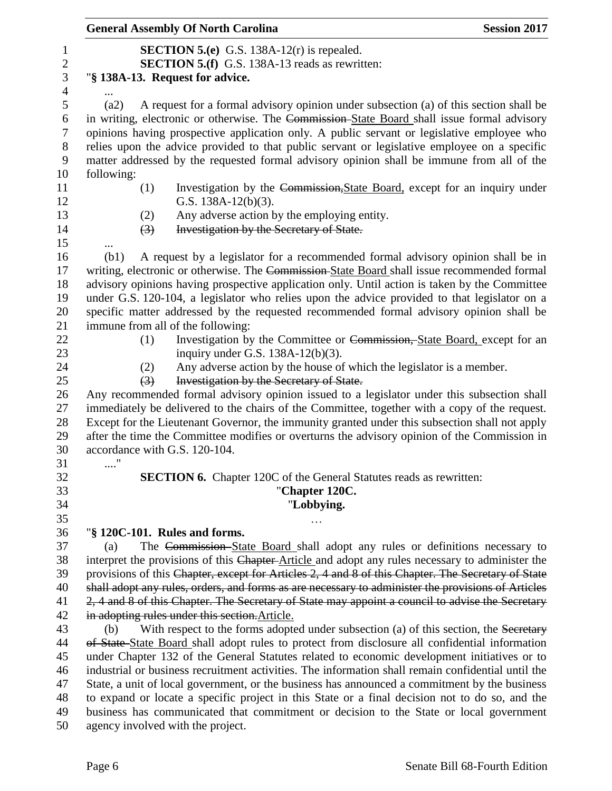|                       | <b>General Assembly Of North Carolina</b>                                                                        | <b>Session 2017</b> |
|-----------------------|------------------------------------------------------------------------------------------------------------------|---------------------|
|                       | <b>SECTION 5.(e)</b> G.S. 138A-12(r) is repealed.                                                                |                     |
|                       | <b>SECTION 5.(f)</b> G.S. 138A-13 reads as rewritten:                                                            |                     |
|                       | "§ 138A-13. Request for advice.                                                                                  |                     |
|                       |                                                                                                                  |                     |
| (a2)                  | A request for a formal advisory opinion under subsection (a) of this section shall be                            |                     |
|                       | in writing, electronic or otherwise. The Commission-State Board shall issue formal advisory                      |                     |
|                       | opinions having prospective application only. A public servant or legislative employee who                       |                     |
|                       | relies upon the advice provided to that public servant or legislative employee on a specific                     |                     |
|                       | matter addressed by the requested formal advisory opinion shall be immune from all of the                        |                     |
| following:            |                                                                                                                  |                     |
| (1)                   | Investigation by the Commission, State Board, except for an inquiry under                                        |                     |
|                       | G.S. $138A-12(b)(3)$ .                                                                                           |                     |
| (2)                   | Any adverse action by the employing entity.                                                                      |                     |
| $\left(3\right)$      | Investigation by the Secretary of State.                                                                         |                     |
|                       |                                                                                                                  |                     |
| (b1)                  | A request by a legislator for a recommended formal advisory opinion shall be in                                  |                     |
|                       | writing, electronic or otherwise. The Commission-State Board shall issue recommended formal                      |                     |
|                       | advisory opinions having prospective application only. Until action is taken by the Committee                    |                     |
|                       | under G.S. 120-104, a legislator who relies upon the advice provided to that legislator on a                     |                     |
|                       | specific matter addressed by the requested recommended formal advisory opinion shall be                          |                     |
|                       | immune from all of the following:                                                                                |                     |
| (1)                   | Investigation by the Committee or Commission, State Board, except for an                                         |                     |
|                       | inquiry under G.S. $138A-12(b)(3)$ .                                                                             |                     |
| (2)<br>(3)            | Any adverse action by the house of which the legislator is a member.<br>Investigation by the Secretary of State. |                     |
|                       | Any recommended formal advisory opinion issued to a legislator under this subsection shall                       |                     |
|                       | immediately be delivered to the chairs of the Committee, together with a copy of the request.                    |                     |
|                       | Except for the Lieutenant Governor, the immunity granted under this subsection shall not apply                   |                     |
|                       | after the time the Committee modifies or overturns the advisory opinion of the Commission in                     |                     |
|                       | accordance with G.S. 120-104.                                                                                    |                     |
| $\ldots\overset{}{.}$ |                                                                                                                  |                     |
|                       | <b>SECTION 6.</b> Chapter 120C of the General Statutes reads as rewritten:                                       |                     |
|                       | "Chapter 120C.                                                                                                   |                     |
|                       | "Lobbying.                                                                                                       |                     |
|                       |                                                                                                                  |                     |
|                       | "§ 120C-101. Rules and forms.                                                                                    |                     |
| (a)                   | The Commission-State Board shall adopt any rules or definitions necessary to                                     |                     |
|                       | interpret the provisions of this Chapter-Article and adopt any rules necessary to administer the                 |                     |
|                       | provisions of this Chapter, except for Articles 2, 4 and 8 of this Chapter. The Secretary of State               |                     |
|                       | shall adopt any rules, orders, and forms as are necessary to administer the provisions of Articles               |                     |
|                       | 2, 4 and 8 of this Chapter. The Secretary of State may appoint a council to advise the Secretary                 |                     |
|                       | in adopting rules under this section. Article.                                                                   |                     |
| (b)                   | With respect to the forms adopted under subsection (a) of this section, the Secretary                            |                     |
|                       | of State-State Board shall adopt rules to protect from disclosure all confidential information                   |                     |
|                       | under Chapter 132 of the General Statutes related to economic development initiatives or to                      |                     |
|                       | industrial or business recruitment activities. The information shall remain confidential until the               |                     |
|                       | State, a unit of local government, or the business has announced a commitment by the business                    |                     |
|                       | to expand or locate a specific project in this State or a final decision not to do so, and the                   |                     |
|                       | business has communicated that commitment or decision to the State or local government                           |                     |
|                       | agency involved with the project.                                                                                |                     |
|                       |                                                                                                                  |                     |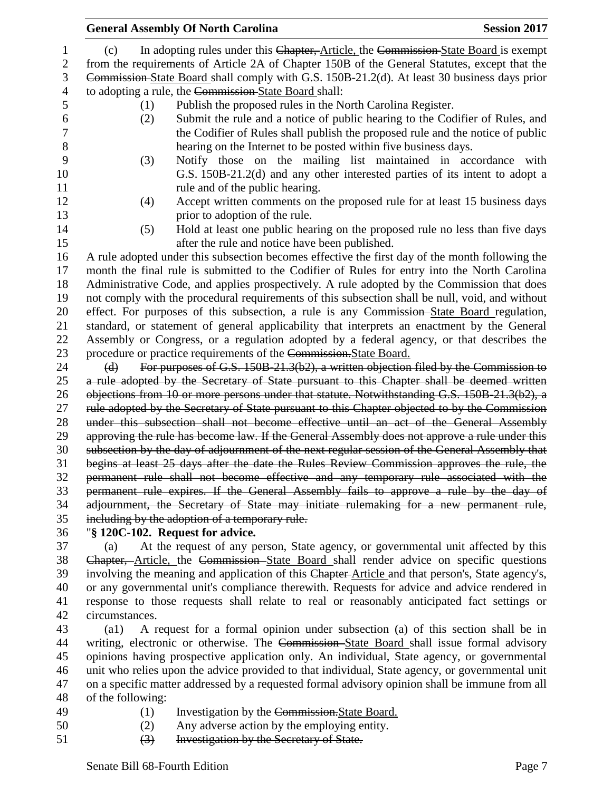|          | <b>General Assembly Of North Carolina</b>                                                                                                                                                                                         | <b>Session 2017</b> |
|----------|-----------------------------------------------------------------------------------------------------------------------------------------------------------------------------------------------------------------------------------|---------------------|
| (c)      | In adopting rules under this Chapter, Article, the Commission State Board is exempt                                                                                                                                               |                     |
|          | from the requirements of Article 2A of Chapter 150B of the General Statutes, except that the                                                                                                                                      |                     |
|          | Commission-State Board shall comply with G.S. 150B-21.2(d). At least 30 business days prior                                                                                                                                       |                     |
|          | to adopting a rule, the Commission-State Board shall:                                                                                                                                                                             |                     |
| (1)      | Publish the proposed rules in the North Carolina Register.                                                                                                                                                                        |                     |
| (2)      | Submit the rule and a notice of public hearing to the Codifier of Rules, and<br>the Codifier of Rules shall publish the proposed rule and the notice of public<br>hearing on the Internet to be posted within five business days. |                     |
| (3)      | Notify those on the mailing list maintained in accordance with                                                                                                                                                                    |                     |
|          | G.S. 150B-21.2(d) and any other interested parties of its intent to adopt a                                                                                                                                                       |                     |
|          | rule and of the public hearing.                                                                                                                                                                                                   |                     |
| (4)      | Accept written comments on the proposed rule for at least 15 business days                                                                                                                                                        |                     |
|          | prior to adoption of the rule.                                                                                                                                                                                                    |                     |
| (5)      | Hold at least one public hearing on the proposed rule no less than five days                                                                                                                                                      |                     |
|          | after the rule and notice have been published.                                                                                                                                                                                    |                     |
|          | A rule adopted under this subsection becomes effective the first day of the month following the                                                                                                                                   |                     |
|          | month the final rule is submitted to the Codifier of Rules for entry into the North Carolina                                                                                                                                      |                     |
|          | Administrative Code, and applies prospectively. A rule adopted by the Commission that does                                                                                                                                        |                     |
|          | not comply with the procedural requirements of this subsection shall be null, void, and without                                                                                                                                   |                     |
|          | effect. For purposes of this subsection, a rule is any Commission-State Board regulation,                                                                                                                                         |                     |
|          | standard, or statement of general applicability that interprets an enactment by the General                                                                                                                                       |                     |
|          | Assembly or Congress, or a regulation adopted by a federal agency, or that describes the                                                                                                                                          |                     |
|          | procedure or practice requirements of the Commission. State Board.                                                                                                                                                                |                     |
| $\Theta$ | For purposes of G.S. 150B-21.3(b2), a written objection filed by the Commission to                                                                                                                                                |                     |
|          | a rule adopted by the Secretary of State pursuant to this Chapter shall be deemed written                                                                                                                                         |                     |
|          | objections from 10 or more persons under that statute. Notwithstanding G.S. 150B-21.3(b2), a<br>rule adopted by the Secretary of State pursuant to this Chapter objected to by the Commission                                     |                     |
|          | under this subsection shall not become effective until an act of the General Assembly                                                                                                                                             |                     |
|          | approving the rule has become law. If the General Assembly does not approve a rule under this                                                                                                                                     |                     |
|          | subsection by the day of adjournment of the next regular session of the General Assembly that                                                                                                                                     |                     |
|          | begins at least 25 days after the date the Rules Review Commission approves the rule, the                                                                                                                                         |                     |
|          | permanent rule shall not become effective and any temporary rule associated with the                                                                                                                                              |                     |
|          | permanent rule expires. If the General Assembly fails to approve a rule by the day of                                                                                                                                             |                     |
|          | adjournment, the Secretary of State may initiate rulemaking for a new permanent rule,                                                                                                                                             |                     |
|          | including by the adoption of a temporary rule.                                                                                                                                                                                    |                     |
|          | "§ 120C-102. Request for advice.                                                                                                                                                                                                  |                     |
| (a)      | At the request of any person, State agency, or governmental unit affected by this                                                                                                                                                 |                     |
|          | Chapter, Article, the Commission State Board shall render advice on specific questions                                                                                                                                            |                     |
|          | involving the meaning and application of this Chapter-Article and that person's, State agency's,                                                                                                                                  |                     |
|          | or any governmental unit's compliance therewith. Requests for advice and advice rendered in                                                                                                                                       |                     |
|          | response to those requests shall relate to real or reasonably anticipated fact settings or                                                                                                                                        |                     |

circumstances.

 (a1) A request for a formal opinion under subsection (a) of this section shall be in 44 writing, electronic or otherwise. The Commission State Board shall issue formal advisory opinions having prospective application only. An individual, State agency, or governmental unit who relies upon the advice provided to that individual, State agency, or governmental unit on a specific matter addressed by a requested formal advisory opinion shall be immune from all of the following:

- 
- (1) Investigation by the Commission.State Board.
- (2) Any adverse action by the employing entity.
- (3) Investigation by the Secretary of State.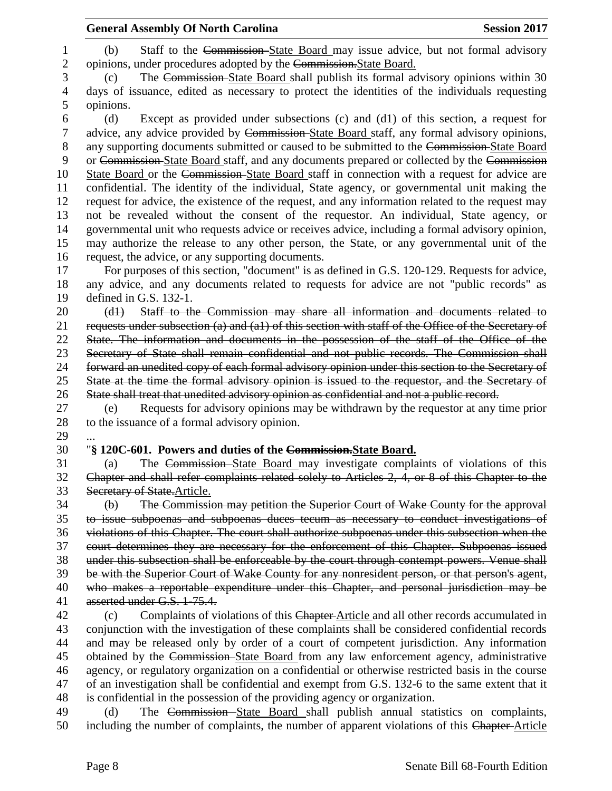| 1            | Staff to the Commission-State Board may issue advice, but not formal advisory<br>(b)                                                                                              |
|--------------|-----------------------------------------------------------------------------------------------------------------------------------------------------------------------------------|
| $\mathbf{2}$ | opinions, under procedures adopted by the Commission. State Board.                                                                                                                |
| 3            | The Commission-State Board shall publish its formal advisory opinions within 30<br>(c)                                                                                            |
| 4            | days of issuance, edited as necessary to protect the identities of the individuals requesting                                                                                     |
| 5            | opinions.                                                                                                                                                                         |
| 6            | Except as provided under subsections (c) and (d1) of this section, a request for<br>(d)                                                                                           |
| $\tau$       | advice, any advice provided by Commission-State Board staff, any formal advisory opinions,                                                                                        |
| $8\,$        | any supporting documents submitted or caused to be submitted to the Commission-State Board                                                                                        |
| 9            | or Commission State Board staff, and any documents prepared or collected by the Commission                                                                                        |
| 10           | State Board or the Commission State Board staff in connection with a request for advice are                                                                                       |
| 11           | confidential. The identity of the individual, State agency, or governmental unit making the                                                                                       |
| 12           | request for advice, the existence of the request, and any information related to the request may                                                                                  |
| 13           | not be revealed without the consent of the requestor. An individual, State agency, or                                                                                             |
| 14           | governmental unit who requests advice or receives advice, including a formal advisory opinion,                                                                                    |
| 15           | may authorize the release to any other person, the State, or any governmental unit of the                                                                                         |
| 16           | request, the advice, or any supporting documents.                                                                                                                                 |
| 17           | For purposes of this section, "document" is as defined in G.S. 120-129. Requests for advice,                                                                                      |
| 18           | any advice, and any documents related to requests for advice are not "public records" as                                                                                          |
| 19           | defined in G.S. 132-1.                                                                                                                                                            |
| 20           | Staff to the Commission may share all information and documents related to<br>(d1)                                                                                                |
| 21           | requests under subsection (a) and (a1) of this section with staff of the Office of the Secretary of                                                                               |
| 22           | State. The information and documents in the possession of the staff of the Office of the                                                                                          |
| 23           | Secretary of State shall remain confidential and not public records. The Commission shall                                                                                         |
| 24           | forward an unedited copy of each formal advisory opinion under this section to the Secretary of                                                                                   |
| 25           | State at the time the formal advisory opinion is issued to the requestor, and the Secretary of                                                                                    |
| 26           | State shall treat that unedited advisory opinion as confidential and not a public record.                                                                                         |
| 27           | Requests for advisory opinions may be withdrawn by the requestor at any time prior<br>(e)                                                                                         |
| 28           | to the issuance of a formal advisory opinion.                                                                                                                                     |
| 29           |                                                                                                                                                                                   |
| 30           | "§ 120C-601. Powers and duties of the Commission. State Board.                                                                                                                    |
| 31           | The Commission-State Board may investigate complaints of violations of this<br>(a)                                                                                                |
| 32           | Chapter and shall refer complaints related solely to Articles 2, 4, or 8 of this Chapter to the                                                                                   |
| 33           | Secretary of State. Article.                                                                                                                                                      |
| 34           | The Commission may petition the Superior Court of Wake County for the approval<br>$\Theta$                                                                                        |
| 35           | to issue subpoenas and subpoenas duces tecum as necessary to conduct investigations of                                                                                            |
| 36           | violations of this Chapter. The court shall authorize subpoenas under this subsection when the                                                                                    |
| 37           | court determines they are necessary for the enforcement of this Chapter. Subpoenas issued                                                                                         |
| 38           | under this subsection shall be enforceable by the court through contempt powers. Venue shall                                                                                      |
| 39           | be with the Superior Court of Wake County for any nonresident person, or that person's agent,                                                                                     |
| 40           | who makes a reportable expenditure under this Chapter, and personal jurisdiction may be                                                                                           |
| 41           | asserted under G.S. 1-75.4.                                                                                                                                                       |
|              |                                                                                                                                                                                   |
| 42           | Complaints of violations of this Chapter-Article and all other records accumulated in<br>(c)                                                                                      |
| 43           | conjunction with the investigation of these complaints shall be considered confidential records                                                                                   |
| 44           | and may be released only by order of a court of competent jurisdiction. Any information                                                                                           |
| 45           | obtained by the Commission-State Board from any law enforcement agency, administrative                                                                                            |
| 46           | agency, or regulatory organization on a confidential or otherwise restricted basis in the course                                                                                  |
| 47           | of an investigation shall be confidential and exempt from G.S. 132-6 to the same extent that it                                                                                   |
| 48           | is confidential in the possession of the providing agency or organization.                                                                                                        |
| 49<br>50     | The Commission-State Board shall publish annual statistics on complaints,<br>(d)<br>including the number of complaints, the number of apparent violations of this Chapter-Article |

**General Assembly Of North Carolina Session 2017**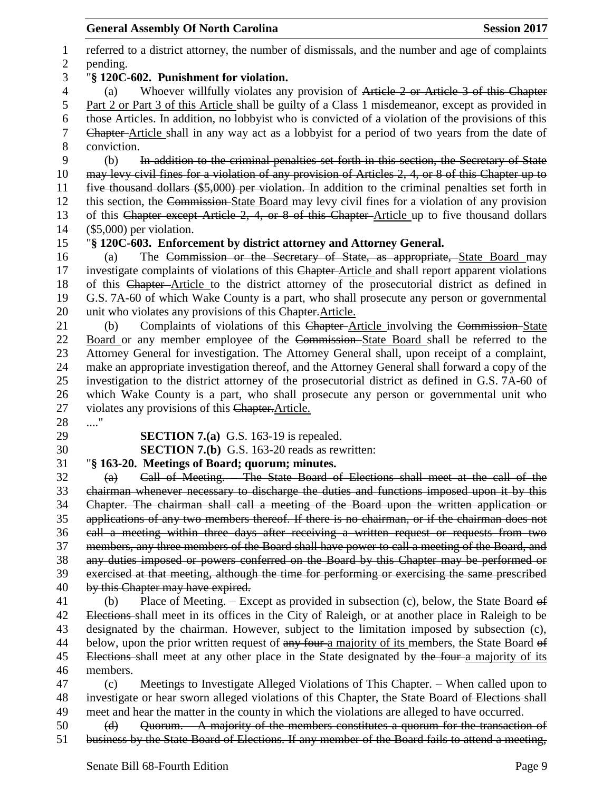referred to a district attorney, the number of dismissals, and the number and age of complaints pending. "**§ 120C-602. Punishment for violation.** (a) Whoever willfully violates any provision of Article 2 or Article 3 of this Chapter Part 2 or Part 3 of this Article shall be guilty of a Class 1 misdemeanor, except as provided in those Articles. In addition, no lobbyist who is convicted of a violation of the provisions of this Chapter Article shall in any way act as a lobbyist for a period of two years from the date of conviction. (b) In addition to the criminal penalties set forth in this section, the Secretary of State may levy civil fines for a violation of any provision of Articles 2, 4, or 8 of this Chapter up to five thousand dollars (\$5,000) per violation. In addition to the criminal penalties set forth in this section, the Commission State Board may levy civil fines for a violation of any provision 13 of this Chapter except Article 2, 4, or 8 of this Chapter-Article up to five thousand dollars (\$5,000) per violation. "**§ 120C-603. Enforcement by district attorney and Attorney General.** (a) The Commission or the Secretary of State, as appropriate, State Board may 17 investigate complaints of violations of this Chapter-Article and shall report apparent violations of this Chapter Article to the district attorney of the prosecutorial district as defined in G.S. 7A-60 of which Wake County is a part, who shall prosecute any person or governmental 20 unit who violates any provisions of this Chapter. Article. (b) Complaints of violations of this Chapter Article involving the Commission State Board or any member employee of the Commission State Board shall be referred to the Attorney General for investigation. The Attorney General shall, upon receipt of a complaint, make an appropriate investigation thereof, and the Attorney General shall forward a copy of the investigation to the district attorney of the prosecutorial district as defined in G.S. 7A-60 of which Wake County is a part, who shall prosecute any person or governmental unit who 27 violates any provisions of this Chapter. Article. ...." **SECTION 7.(a)** G.S. 163-19 is repealed. **SECTION 7.(b)** G.S. 163-20 reads as rewritten: "**§ 163-20. Meetings of Board; quorum; minutes.** (a) Call of Meeting. – The State Board of Elections shall meet at the call of the chairman whenever necessary to discharge the duties and functions imposed upon it by this Chapter. The chairman shall call a meeting of the Board upon the written application or applications of any two members thereof. If there is no chairman, or if the chairman does not call a meeting within three days after receiving a written request or requests from two members, any three members of the Board shall have power to call a meeting of the Board, and any duties imposed or powers conferred on the Board by this Chapter may be performed or exercised at that meeting, although the time for performing or exercising the same prescribed 40 by this Chapter may have expired. (b) Place of Meeting. – Except as provided in subsection (c), below, the State Board of Elections shall meet in its offices in the City of Raleigh, or at another place in Raleigh to be designated by the chairman. However, subject to the limitation imposed by subsection (c), 44 below, upon the prior written request of any four-a majority of its members, the State Board of 45 Elections shall meet at any other place in the State designated by the four a majority of its members. (c) Meetings to Investigate Alleged Violations of This Chapter. – When called upon to 48 investigate or hear sworn alleged violations of this Chapter, the State Board of Elections-shall meet and hear the matter in the county in which the violations are alleged to have occurred.

 (d) Quorum. – A majority of the members constitutes a quorum for the transaction of business by the State Board of Elections. If any member of the Board fails to attend a meeting,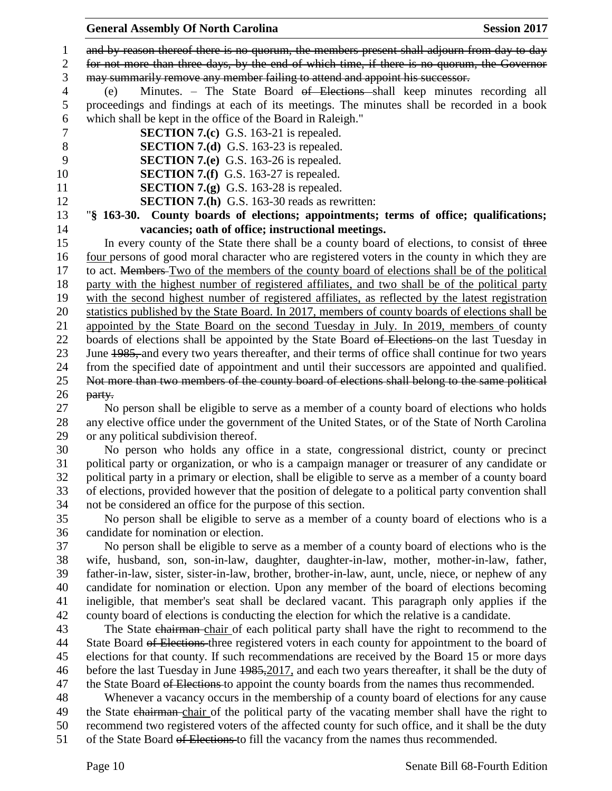#### **General Assembly Of North Carolina Session 2017**

1 and by reason thereof there is no quorum, the members present shall adjourn from day to day

for not more than three days, by the end of which time, if there is no quorum, the Governor

may summarily remove any member failing to attend and appoint his successor.

 (e) Minutes. – The State Board of Elections shall keep minutes recording all proceedings and findings at each of its meetings. The minutes shall be recorded in a book which shall be kept in the office of the Board in Raleigh."

- **SECTION 7.(c)** G.S. 163-21 is repealed.
- **SECTION 7.(d)** G.S. 163-23 is repealed.
- **SECTION 7.(e)** G.S. 163-26 is repealed.
- **SECTION 7.(f)** G.S. 163-27 is repealed.
- **SECTION 7.(g)** G.S. 163-28 is repealed.
- **SECTION 7.(h)** G.S. 163-30 reads as rewritten:

 "**§ 163-30. County boards of elections; appointments; terms of office; qualifications; vacancies; oath of office; instructional meetings.**

15 In every county of the State there shall be a county board of elections, to consist of three four persons of good moral character who are registered voters in the county in which they are 17 to act. Members Two of the members of the county board of elections shall be of the political party with the highest number of registered affiliates, and two shall be of the political party with the second highest number of registered affiliates, as reflected by the latest registration statistics published by the State Board. In 2017, members of county boards of elections shall be appointed by the State Board on the second Tuesday in July. In 2019, members of county 22 boards of elections shall be appointed by the State Board of Elections on the last Tuesday in 23 June 1985, and every two years thereafter, and their terms of office shall continue for two years from the specified date of appointment and until their successors are appointed and qualified. Not more than two members of the county board of elections shall belong to the same political party.

 No person shall be eligible to serve as a member of a county board of elections who holds any elective office under the government of the United States, or of the State of North Carolina or any political subdivision thereof.

 No person who holds any office in a state, congressional district, county or precinct political party or organization, or who is a campaign manager or treasurer of any candidate or political party in a primary or election, shall be eligible to serve as a member of a county board of elections, provided however that the position of delegate to a political party convention shall not be considered an office for the purpose of this section.

 No person shall be eligible to serve as a member of a county board of elections who is a candidate for nomination or election.

 No person shall be eligible to serve as a member of a county board of elections who is the wife, husband, son, son-in-law, daughter, daughter-in-law, mother, mother-in-law, father, father-in-law, sister, sister-in-law, brother, brother-in-law, aunt, uncle, niece, or nephew of any candidate for nomination or election. Upon any member of the board of elections becoming ineligible, that member's seat shall be declared vacant. This paragraph only applies if the county board of elections is conducting the election for which the relative is a candidate.

43 The State chairman chair of each political party shall have the right to recommend to the 44 State Board of Elections three registered voters in each county for appointment to the board of elections for that county. If such recommendations are received by the Board 15 or more days before the last Tuesday in June 1985,2017, and each two years thereafter, it shall be the duty of 47 the State Board of Elections to appoint the county boards from the names thus recommended.

 Whenever a vacancy occurs in the membership of a county board of elections for any cause 49 the State chairman-chair of the political party of the vacating member shall have the right to

recommend two registered voters of the affected county for such office, and it shall be the duty

51 of the State Board of Elections to fill the vacancy from the names thus recommended.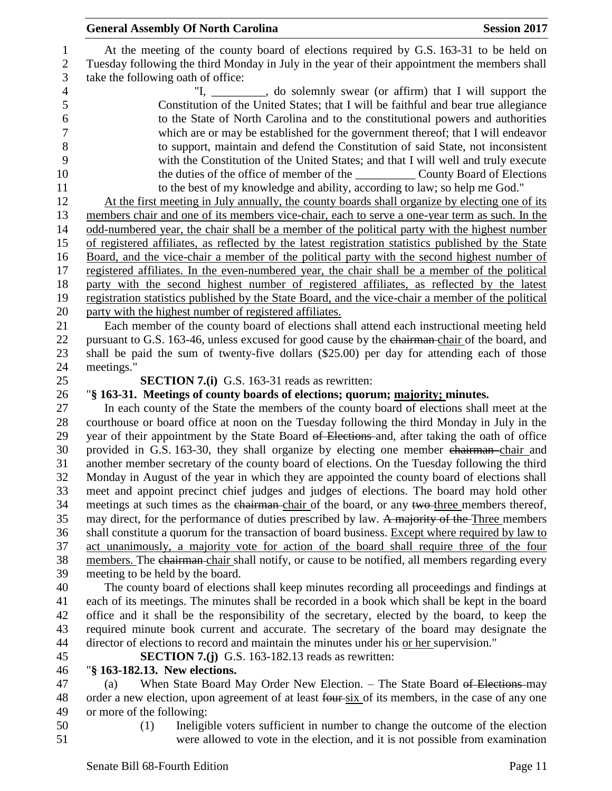At the meeting of the county board of elections required by G.S. 163-31 to be held on Tuesday following the third Monday in July in the year of their appointment the members shall take the following oath of office:

4 "I, close of solemnly swear (or affirm) that I will support the Constitution of the United States; that I will be faithful and bear true allegiance to the State of North Carolina and to the constitutional powers and authorities which are or may be established for the government thereof; that I will endeavor to support, maintain and defend the Constitution of said State, not inconsistent with the Constitution of the United States; and that I will well and truly execute the duties of the office of member of the \_\_\_\_\_\_\_\_\_\_ County Board of Elections to the best of my knowledge and ability, according to law; so help me God."

 At the first meeting in July annually, the county boards shall organize by electing one of its members chair and one of its members vice-chair, each to serve a one-year term as such. In the odd-numbered year, the chair shall be a member of the political party with the highest number of registered affiliates, as reflected by the latest registration statistics published by the State Board, and the vice-chair a member of the political party with the second highest number of registered affiliates. In the even-numbered year, the chair shall be a member of the political party with the second highest number of registered affiliates, as reflected by the latest registration statistics published by the State Board, and the vice-chair a member of the political party with the highest number of registered affiliates.

 Each member of the county board of elections shall attend each instructional meeting held 22 pursuant to G.S. 163-46, unless excused for good cause by the chairman-chair of the board, and shall be paid the sum of twenty-five dollars (\$25.00) per day for attending each of those meetings."

**SECTION 7.(i)** G.S. 163-31 reads as rewritten:

## "**§ 163-31. Meetings of county boards of elections; quorum; majority; minutes.**

 In each county of the State the members of the county board of elections shall meet at the courthouse or board office at noon on the Tuesday following the third Monday in July in the 29 year of their appointment by the State Board of Elections and, after taking the oath of office 30 provided in G.S. 163-30, they shall organize by electing one member chairman chair and another member secretary of the county board of elections. On the Tuesday following the third Monday in August of the year in which they are appointed the county board of elections shall meet and appoint precinct chief judges and judges of elections. The board may hold other 34 meetings at such times as the chairman-chair of the board, or any two-three members thereof, 35 may direct, for the performance of duties prescribed by law. A majority of the Three members shall constitute a quorum for the transaction of board business. Except where required by law to act unanimously, a majority vote for action of the board shall require three of the four 38 members. The chairman chair shall notify, or cause to be notified, all members regarding every meeting to be held by the board.

 The county board of elections shall keep minutes recording all proceedings and findings at each of its meetings. The minutes shall be recorded in a book which shall be kept in the board office and it shall be the responsibility of the secretary, elected by the board, to keep the required minute book current and accurate. The secretary of the board may designate the director of elections to record and maintain the minutes under his or her supervision."

**SECTION 7.(j)** G.S. 163-182.13 reads as rewritten:

# "**§ 163-182.13. New elections.**

47 (a) When State Board May Order New Election. – The State Board of Elections-may 48 order a new election, upon agreement of at least four-six of its members, in the case of any one or more of the following:

- 
- (1) Ineligible voters sufficient in number to change the outcome of the election were allowed to vote in the election, and it is not possible from examination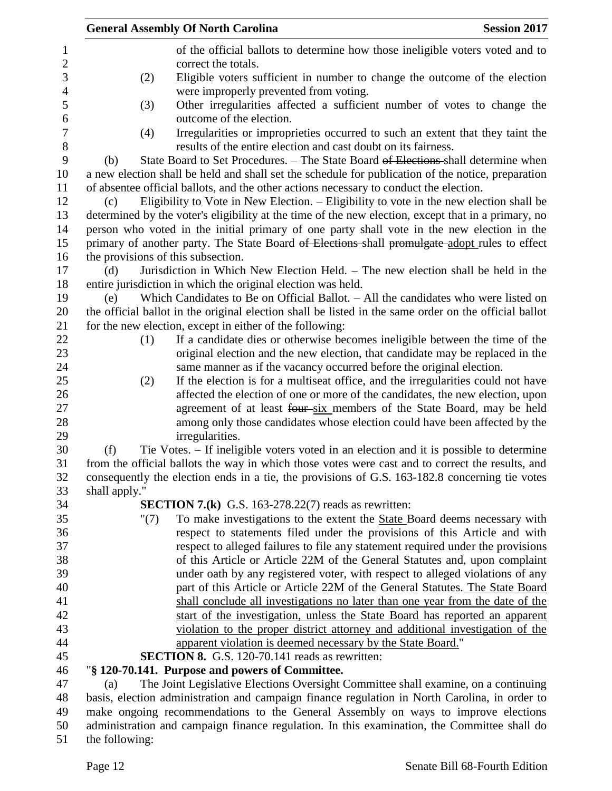|               |         | <b>General Assembly Of North Carolina</b>                                                                                                              | <b>Session 2017</b> |
|---------------|---------|--------------------------------------------------------------------------------------------------------------------------------------------------------|---------------------|
|               |         | of the official ballots to determine how those ineligible voters voted and to                                                                          |                     |
|               |         | correct the totals.                                                                                                                                    |                     |
|               | (2)     | Eligible voters sufficient in number to change the outcome of the election                                                                             |                     |
|               |         | were improperly prevented from voting.                                                                                                                 |                     |
|               | (3)     | Other irregularities affected a sufficient number of votes to change the                                                                               |                     |
|               |         | outcome of the election.                                                                                                                               |                     |
|               | (4)     | Irregularities or improprieties occurred to such an extent that they taint the                                                                         |                     |
|               |         | results of the entire election and cast doubt on its fairness.                                                                                         |                     |
| (b)           |         | State Board to Set Procedures. - The State Board of Elections shall determine when                                                                     |                     |
|               |         | a new election shall be held and shall set the schedule for publication of the notice, preparation                                                     |                     |
|               |         | of absentee official ballots, and the other actions necessary to conduct the election.                                                                 |                     |
| (c)           |         | Eligibility to Vote in New Election. – Eligibility to vote in the new election shall be                                                                |                     |
|               |         | determined by the voter's eligibility at the time of the new election, except that in a primary, no                                                    |                     |
|               |         | person who voted in the initial primary of one party shall vote in the new election in the                                                             |                     |
|               |         | primary of another party. The State Board of Elections-shall promulgate-adopt rules to effect                                                          |                     |
|               |         | the provisions of this subsection.                                                                                                                     |                     |
| (d)           |         | Jurisdiction in Which New Election Held. - The new election shall be held in the                                                                       |                     |
|               |         | entire jurisdiction in which the original election was held.                                                                                           |                     |
| (e)           |         | Which Candidates to Be on Official Ballot. - All the candidates who were listed on                                                                     |                     |
|               |         | the official ballot in the original election shall be listed in the same order on the official ballot                                                  |                     |
|               |         | for the new election, except in either of the following:                                                                                               |                     |
|               | (1)     | If a candidate dies or otherwise becomes ineligible between the time of the                                                                            |                     |
|               |         | original election and the new election, that candidate may be replaced in the                                                                          |                     |
|               |         | same manner as if the vacancy occurred before the original election.                                                                                   |                     |
|               | (2)     | If the election is for a multiseat office, and the irregularities could not have                                                                       |                     |
|               |         | affected the election of one or more of the candidates, the new election, upon                                                                         |                     |
|               |         | agreement of at least four-six members of the State Board, may be held                                                                                 |                     |
|               |         | among only those candidates whose election could have been affected by the                                                                             |                     |
|               |         | irregularities.                                                                                                                                        |                     |
| (f)           |         | Tie Votes. – If ineligible voters voted in an election and it is possible to determine                                                                 |                     |
|               |         | from the official ballots the way in which those votes were cast and to correct the results, and                                                       |                     |
|               |         | consequently the election ends in a tie, the provisions of G.S. 163-182.8 concerning tie votes                                                         |                     |
| shall apply." |         | <b>SECTION 7.(k)</b> G.S. 163-278.22(7) reads as rewritten:                                                                                            |                     |
|               |         |                                                                                                                                                        |                     |
|               | " $(7)$ | To make investigations to the extent the State Board deems necessary with<br>respect to statements filed under the provisions of this Article and with |                     |
|               |         | respect to alleged failures to file any statement required under the provisions                                                                        |                     |
|               |         |                                                                                                                                                        |                     |
|               |         | of this Article or Article 22M of the General Statutes and, upon complaint                                                                             |                     |
|               |         | under oath by any registered voter, with respect to alleged violations of any                                                                          |                     |
|               |         | part of this Article or Article 22M of the General Statutes. The State Board                                                                           |                     |
|               |         | shall conclude all investigations no later than one year from the date of the                                                                          |                     |
|               |         | start of the investigation, unless the State Board has reported an apparent                                                                            |                     |
|               |         | violation to the proper district attorney and additional investigation of the                                                                          |                     |
|               |         | apparent violation is deemed necessary by the State Board."<br><b>SECTION 8.</b> G.S. 120-70.141 reads as rewritten:                                   |                     |
|               |         | "§ 120-70.141. Purpose and powers of Committee.                                                                                                        |                     |
| (a)           |         | The Joint Legislative Elections Oversight Committee shall examine, on a continuing                                                                     |                     |
|               |         | basis, election administration and campaign finance regulation in North Carolina, in order to                                                          |                     |
|               |         | make ongoing recommendations to the General Assembly on ways to improve elections                                                                      |                     |
|               |         | inizingtion and commeters finance monitorian. In this examination, the Committed                                                                       |                     |

administration and campaign finance regulation. In this examination, the Committee shall do

the following: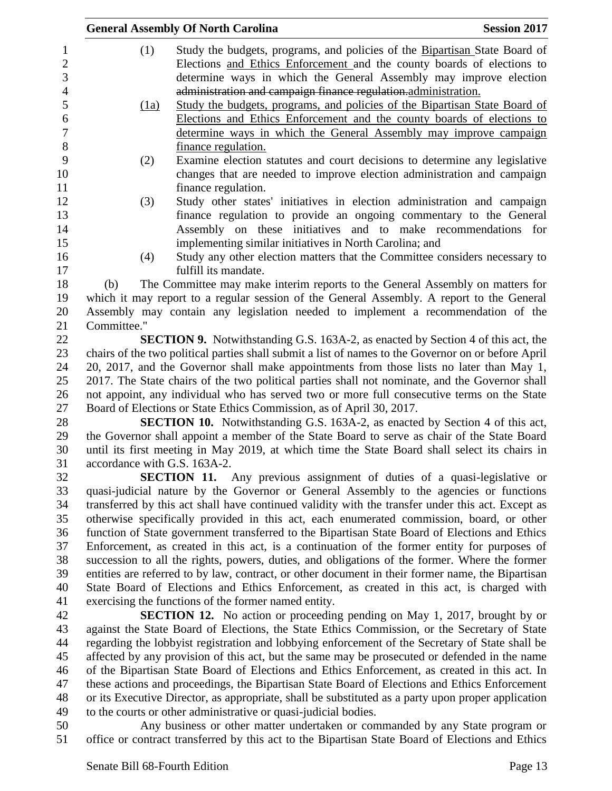|                |             | <b>General Assembly Of North Carolina</b>                                                 | <b>Session 2017</b> |
|----------------|-------------|-------------------------------------------------------------------------------------------|---------------------|
| 1              | (1)         | Study the budgets, programs, and policies of the Bipartisan State Board of                |                     |
| $\overline{2}$ |             | Elections and Ethics Enforcement and the county boards of elections to                    |                     |
| 3              |             | determine ways in which the General Assembly may improve election                         |                     |
| 4              |             | administration and campaign finance regulation-administration.                            |                     |
| 5              | (1a)        | Study the budgets, programs, and policies of the Bipartisan State Board of                |                     |
| 6              |             | Elections and Ethics Enforcement and the county boards of elections to                    |                     |
| 7              |             | determine ways in which the General Assembly may improve campaign                         |                     |
| 8              |             | finance regulation.                                                                       |                     |
| 9              | (2)         | Examine election statutes and court decisions to determine any legislative                |                     |
| 10             |             | changes that are needed to improve election administration and campaign                   |                     |
| 11             |             | finance regulation.                                                                       |                     |
| 12             | (3)         | Study other states' initiatives in election administration and campaign                   |                     |
| 13             |             | finance regulation to provide an ongoing commentary to the General                        |                     |
| 14             |             | Assembly on these initiatives and to make recommendations for                             |                     |
| 15             |             | implementing similar initiatives in North Carolina; and                                   |                     |
| 16             | (4)         | Study any other election matters that the Committee considers necessary to                |                     |
| 17             |             | fulfill its mandate.                                                                      |                     |
| 18             | (b)         | The Committee may make interim reports to the General Assembly on matters for             |                     |
| 19             |             | which it may report to a regular session of the General Assembly. A report to the General |                     |
| 20             |             | Assembly may contain any legislation needed to implement a recommendation of the          |                     |
| 21             | Committee." |                                                                                           |                     |
| 22             |             | <b>SECTION 9.</b> Notwithstanding G.S. 163A-2, as enacted by Section 4 of this act, the   |                     |

 chairs of the two political parties shall submit a list of names to the Governor on or before April 20, 2017, and the Governor shall make appointments from those lists no later than May 1, 2017. The State chairs of the two political parties shall not nominate, and the Governor shall not appoint, any individual who has served two or more full consecutive terms on the State Board of Elections or State Ethics Commission, as of April 30, 2017.

 **SECTION 10.** Notwithstanding G.S. 163A-2, as enacted by Section 4 of this act, the Governor shall appoint a member of the State Board to serve as chair of the State Board until its first meeting in May 2019, at which time the State Board shall select its chairs in accordance with G.S. 163A-2.

 **SECTION 11.** Any previous assignment of duties of a quasi-legislative or quasi-judicial nature by the Governor or General Assembly to the agencies or functions transferred by this act shall have continued validity with the transfer under this act. Except as otherwise specifically provided in this act, each enumerated commission, board, or other function of State government transferred to the Bipartisan State Board of Elections and Ethics Enforcement, as created in this act, is a continuation of the former entity for purposes of succession to all the rights, powers, duties, and obligations of the former. Where the former entities are referred to by law, contract, or other document in their former name, the Bipartisan State Board of Elections and Ethics Enforcement, as created in this act, is charged with exercising the functions of the former named entity.

 **SECTION 12.** No action or proceeding pending on May 1, 2017, brought by or against the State Board of Elections, the State Ethics Commission, or the Secretary of State regarding the lobbyist registration and lobbying enforcement of the Secretary of State shall be affected by any provision of this act, but the same may be prosecuted or defended in the name of the Bipartisan State Board of Elections and Ethics Enforcement, as created in this act. In these actions and proceedings, the Bipartisan State Board of Elections and Ethics Enforcement or its Executive Director, as appropriate, shall be substituted as a party upon proper application to the courts or other administrative or quasi-judicial bodies.

 Any business or other matter undertaken or commanded by any State program or office or contract transferred by this act to the Bipartisan State Board of Elections and Ethics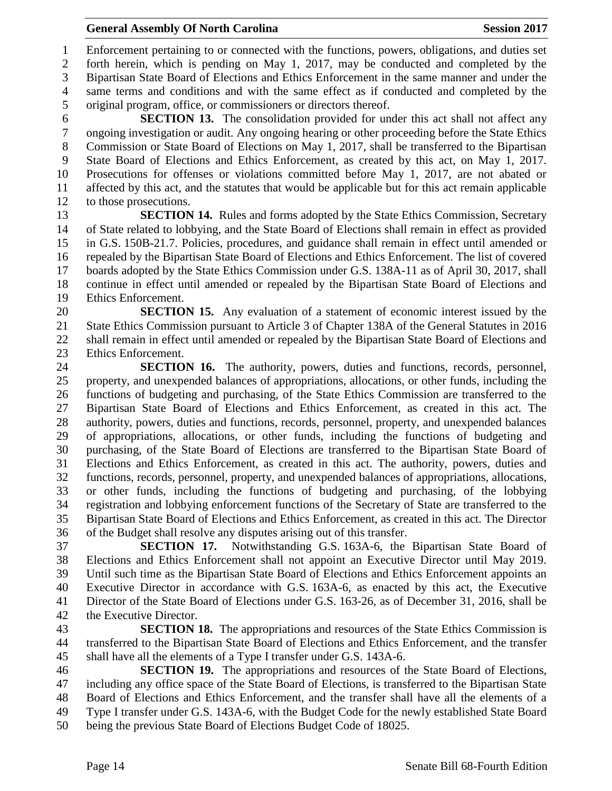Enforcement pertaining to or connected with the functions, powers, obligations, and duties set forth herein, which is pending on May 1, 2017, may be conducted and completed by the Bipartisan State Board of Elections and Ethics Enforcement in the same manner and under the same terms and conditions and with the same effect as if conducted and completed by the original program, office, or commissioners or directors thereof.

 **SECTION 13.** The consolidation provided for under this act shall not affect any ongoing investigation or audit. Any ongoing hearing or other proceeding before the State Ethics Commission or State Board of Elections on May 1, 2017, shall be transferred to the Bipartisan State Board of Elections and Ethics Enforcement, as created by this act, on May 1, 2017. Prosecutions for offenses or violations committed before May 1, 2017, are not abated or affected by this act, and the statutes that would be applicable but for this act remain applicable to those prosecutions.

 **SECTION 14.** Rules and forms adopted by the State Ethics Commission, Secretary of State related to lobbying, and the State Board of Elections shall remain in effect as provided in G.S. 150B-21.7. Policies, procedures, and guidance shall remain in effect until amended or repealed by the Bipartisan State Board of Elections and Ethics Enforcement. The list of covered boards adopted by the State Ethics Commission under G.S. 138A-11 as of April 30, 2017, shall continue in effect until amended or repealed by the Bipartisan State Board of Elections and Ethics Enforcement.

 **SECTION 15.** Any evaluation of a statement of economic interest issued by the State Ethics Commission pursuant to Article 3 of Chapter 138A of the General Statutes in 2016 shall remain in effect until amended or repealed by the Bipartisan State Board of Elections and Ethics Enforcement.

 **SECTION 16.** The authority, powers, duties and functions, records, personnel, property, and unexpended balances of appropriations, allocations, or other funds, including the functions of budgeting and purchasing, of the State Ethics Commission are transferred to the Bipartisan State Board of Elections and Ethics Enforcement, as created in this act. The authority, powers, duties and functions, records, personnel, property, and unexpended balances of appropriations, allocations, or other funds, including the functions of budgeting and purchasing, of the State Board of Elections are transferred to the Bipartisan State Board of Elections and Ethics Enforcement, as created in this act. The authority, powers, duties and functions, records, personnel, property, and unexpended balances of appropriations, allocations, or other funds, including the functions of budgeting and purchasing, of the lobbying registration and lobbying enforcement functions of the Secretary of State are transferred to the Bipartisan State Board of Elections and Ethics Enforcement, as created in this act. The Director of the Budget shall resolve any disputes arising out of this transfer.

 **SECTION 17.** Notwithstanding G.S. 163A-6, the Bipartisan State Board of Elections and Ethics Enforcement shall not appoint an Executive Director until May 2019. Until such time as the Bipartisan State Board of Elections and Ethics Enforcement appoints an Executive Director in accordance with G.S. 163A-6, as enacted by this act, the Executive Director of the State Board of Elections under G.S. 163-26, as of December 31, 2016, shall be the Executive Director.

 **SECTION 18.** The appropriations and resources of the State Ethics Commission is transferred to the Bipartisan State Board of Elections and Ethics Enforcement, and the transfer shall have all the elements of a Type I transfer under G.S. 143A-6.

 **SECTION 19.** The appropriations and resources of the State Board of Elections, including any office space of the State Board of Elections, is transferred to the Bipartisan State Board of Elections and Ethics Enforcement, and the transfer shall have all the elements of a Type I transfer under G.S. 143A-6, with the Budget Code for the newly established State Board being the previous State Board of Elections Budget Code of 18025.